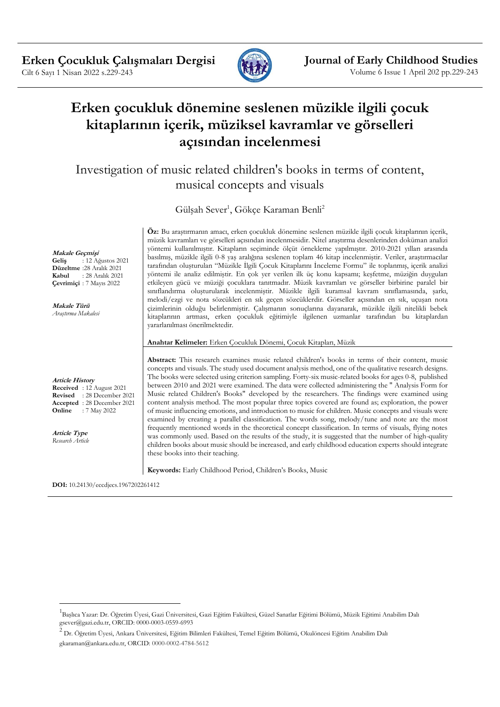

# **Erken çocukluk dönemine seslenen müzikle ilgili çocuk kitaplarının içerik, müziksel kavramlar ve görselleri açısından incelenmesi**

Investigation of music related children's books in terms of content, musical concepts and visuals

Gülşah Sever<sup>1</sup>, Gökçe Karaman Benli<sup>2</sup>

**Öz:** Bu araştırmanın amacı, erken çocukluk dönemine seslenen müzikle ilgili çocuk kitaplarının içerik, müzik kavramları ve görselleri açısından incelenmesidir. Nitel araştırma desenlerinden doküman analizi yöntemi kullanılmıştır. Kitapların seçiminde ölçüt örnekleme yapılmıştır. 2010-2021 yılları arasında basılmış, müzikle ilgili 0-8 yaş aralığına seslenen toplam 46 kitap incelenmiştir. Veriler, araştırmacılar tarafından oluşturulan "Müzikle İlgili Çocuk Kitaplarını İnceleme Formu" ile toplanmış, içerik analizi yöntemi ile analiz edilmiştir. En çok yer verilen ilk üç konu kapsamı; keşfetme, müziğin duyguları etkileyen gücü ve müziği çocuklara tanıtmadır. Müzik kavramları ve görseller birbirine paralel bir sınıflandırma oluşturularak incelenmiştir. Müzikle ilgili kuramsal kavram sınıflamasında, şarkı, melodi/ezgi ve nota sözcükleri en sık geçen sözcüklerdir. Görseller açısından en sık, uçuşan nota çizimlerinin olduğu belirlenmiştir. Çalışmanın sonuçlarına dayanarak, müzikle ilgili nitelikli bebek kitaplarının artması, erken çocukluk eğitimiyle ilgilenen uzmanlar tarafından bu kitaplardan yararlanılması önerilmektedir.

**Anahtar Kelimeler:** Erken Çocukluk Dönemi, Çocuk Kitapları, Müzik

**Abstract:** This research examines music related children's books in terms of their content, music concepts and visuals. The study used document analysis method, one of the qualitative research designs. The books were selected using criterion sampling. Forty-six music-related books for ages 0-8, published between 2010 and 2021 were examined. The data were collected administering the " Analysis Form for Music related Children's Books" developed by the researchers. The findings were examined using content analysis method. The most popular three topics covered are found as; exploration, the power of music influencing emotions, and introduction to music for children. Music concepts and visuals were examined by creating a parallel classification. The words song, melody/tune and note are the most frequently mentioned words in the theoretical concept classification. In terms of visuals, flying notes was commonly used. Based on the results of the study, it is suggested that the number of high-quality children books about music should be increased, and early childhood education experts should integrate these books into their teaching.

**Keywords:** Early Childhood Period, Children's Books, Music

**DOI:** 10.24130/eccdjecs.1967202261412

**Geliş** : 12 Ağustos 2021 **Düzeltme** :28 Aralık 2021 **Kabul** : 28 Aralık 2021 **Çevrimiçi** : 7 Mayıs 2022

**Makale Türü** *Araştırma Makalesi*

**Makale Geçmişi**

**Article History Received** : 12 August 2021 **Revised** : 28 December 2021 **Accepted** : 28 December 2021 **Online** : 7 May 2022

**Article Type** *Research Article*

<sup>&</sup>lt;sup>1</sup>Başlıca Yazar: Dr. Öğretim Üyesi, Gazi Üniversitesi, Gazi Eğitim Fakültesi, Güzel Sanatlar Eğitimi Bölümü, Müzik Eğitimi Anabilim Dalı gsever@gazi.edu.tr, ORCID: 0000-0003-0559-6993

<sup>2</sup> Dr. Öğretim Üyesi, Ankara Üniversitesi, Eğitim Bilimleri Fakültesi, Temel Eğitim Bölümü, Okulöncesi Eğitim Anabilim Dalı gkaraman@ankara.edu.tr, ORCID: 0000-0002-4784-5612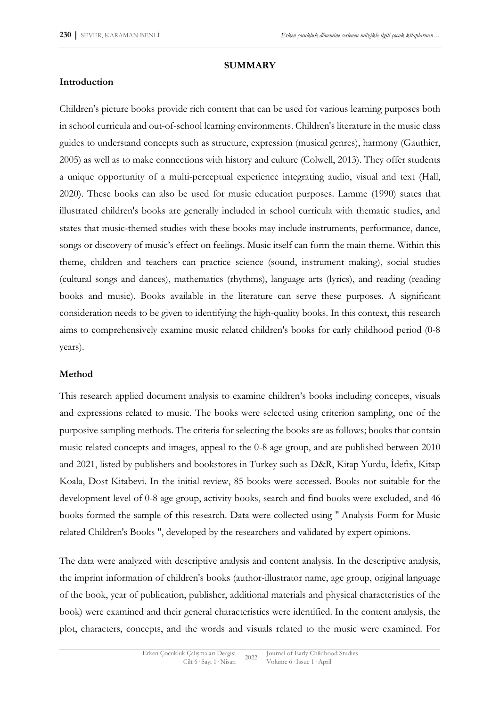#### **SUMMARY**

### **Introduction**

Children's picture books provide rich content that can be used for various learning purposes both in school curricula and out-of-school learning environments. Children's literature in the music class guides to understand concepts such as structure, expression (musical genres), harmony (Gauthier, 2005) as well as to make connections with history and culture (Colwell, 2013). They offer students a unique opportunity of a multi-perceptual experience integrating audio, visual and text (Hall, 2020). These books can also be used for music education purposes. Lamme (1990) states that illustrated children's books are generally included in school curricula with thematic studies, and states that music-themed studies with these books may include instruments, performance, dance, songs or discovery of music's effect on feelings. Music itself can form the main theme. Within this theme, children and teachers can practice science (sound, instrument making), social studies (cultural songs and dances), mathematics (rhythms), language arts (lyrics), and reading (reading books and music). Books available in the literature can serve these purposes. A significant consideration needs to be given to identifying the high-quality books. In this context, this research aims to comprehensively examine music related children's books for early childhood period (0-8 years).

## **Method**

This research applied document analysis to examine children's books including concepts, visuals and expressions related to music. The books were selected using criterion sampling, one of the purposive sampling methods. The criteria for selecting the books are as follows; books that contain music related concepts and images, appeal to the 0-8 age group, and are published between 2010 and 2021, listed by publishers and bookstores in Turkey such as D&R, Kitap Yurdu, İdefix, Kitap Koala, Dost Kitabevi. In the initial review, 85 books were accessed. Books not suitable for the development level of 0-8 age group, activity books, search and find books were excluded, and 46 books formed the sample of this research. Data were collected using " Analysis Form for Music related Children's Books ", developed by the researchers and validated by expert opinions.

The data were analyzed with descriptive analysis and content analysis. In the descriptive analysis, the imprint information of children's books (author-illustrator name, age group, original language of the book, year of publication, publisher, additional materials and physical characteristics of the book) were examined and their general characteristics were identified. In the content analysis, the plot, characters, concepts, and the words and visuals related to the music were examined. For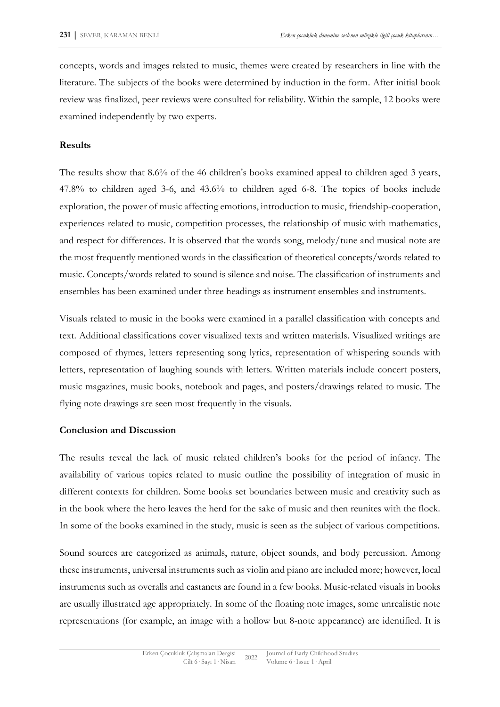concepts, words and images related to music, themes were created by researchers in line with the literature. The subjects of the books were determined by induction in the form. After initial book review was finalized, peer reviews were consulted for reliability. Within the sample, 12 books were examined independently by two experts.

#### **Results**

The results show that 8.6% of the 46 children's books examined appeal to children aged 3 years, 47.8% to children aged 3-6, and 43.6% to children aged 6-8. The topics of books include exploration, the power of music affecting emotions, introduction to music, friendship-cooperation, experiences related to music, competition processes, the relationship of music with mathematics, and respect for differences. It is observed that the words song, melody/tune and musical note are the most frequently mentioned words in the classification of theoretical concepts/words related to music. Concepts/words related to sound is silence and noise. The classification of instruments and ensembles has been examined under three headings as instrument ensembles and instruments.

Visuals related to music in the books were examined in a parallel classification with concepts and text. Additional classifications cover visualized texts and written materials. Visualized writings are composed of rhymes, letters representing song lyrics, representation of whispering sounds with letters, representation of laughing sounds with letters. Written materials include concert posters, music magazines, music books, notebook and pages, and posters/drawings related to music. The flying note drawings are seen most frequently in the visuals.

#### **Conclusion and Discussion**

The results reveal the lack of music related children's books for the period of infancy. The availability of various topics related to music outline the possibility of integration of music in different contexts for children. Some books set boundaries between music and creativity such as in the book where the hero leaves the herd for the sake of music and then reunites with the flock. In some of the books examined in the study, music is seen as the subject of various competitions.

Sound sources are categorized as animals, nature, object sounds, and body percussion. Among these instruments, universal instruments such as violin and piano are included more; however, local instruments such as overalls and castanets are found in a few books. Music-related visuals in books are usually illustrated age appropriately. In some of the floating note images, some unrealistic note representations (for example, an image with a hollow but 8-note appearance) are identified. It is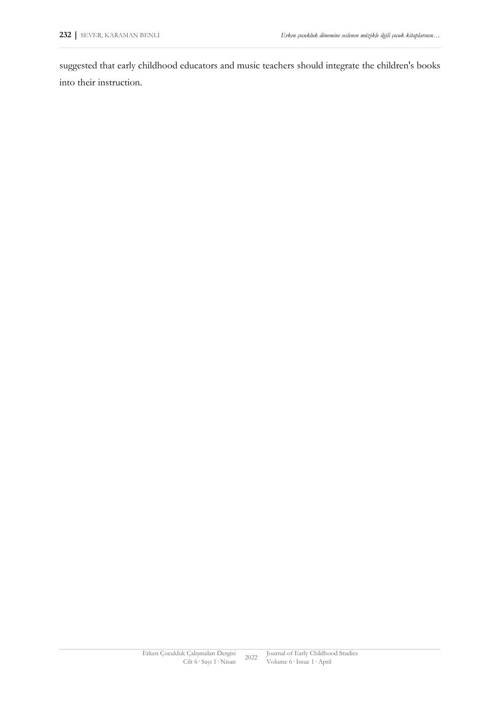suggested that early childhood educators and music teachers should integrate the children's books into their instruction.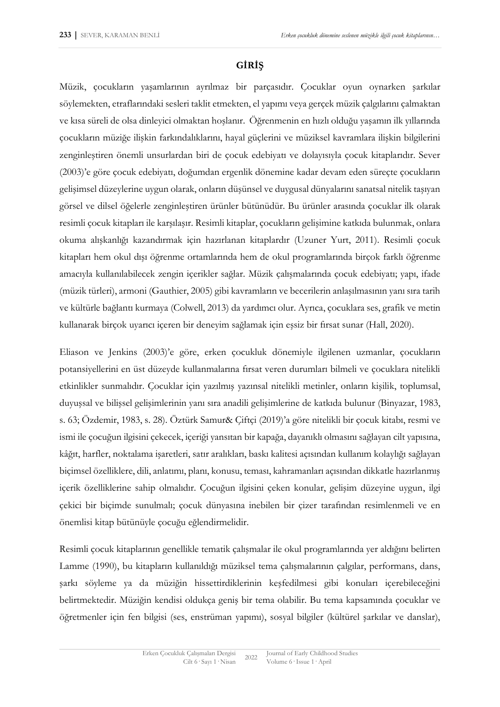## **GİRİŞ**

Müzik, çocukların yaşamlarının ayrılmaz bir parçasıdır. Çocuklar oyun oynarken şarkılar söylemekten, etraflarındaki sesleri taklit etmekten, el yapımı veya gerçek müzik çalgılarını çalmaktan ve kısa süreli de olsa dinleyici olmaktan hoşlanır. Öğrenmenin en hızlı olduğu yaşamın ilk yıllarında çocukların müziğe ilişkin farkındalıklarını, hayal güçlerini ve müziksel kavramlara ilişkin bilgilerini zenginleştiren önemli unsurlardan biri de çocuk edebiyatı ve dolayısıyla çocuk kitaplarıdır. Sever (2003)'e göre çocuk edebiyatı, doğumdan ergenlik dönemine kadar devam eden süreçte çocukların gelişimsel düzeylerine uygun olarak, onların düşünsel ve duygusal dünyalarını sanatsal nitelik taşıyan görsel ve dilsel öğelerle zenginleştiren ürünler bütünüdür. Bu ürünler arasında çocuklar ilk olarak resimli çocuk kitapları ile karşılaşır. Resimli kitaplar, çocukların gelişimine katkıda bulunmak, onlara okuma alışkanlığı kazandırmak için hazırlanan kitaplardır (Uzuner Yurt, 2011). Resimli çocuk kitapları hem okul dışı öğrenme ortamlarında hem de okul programlarında birçok farklı öğrenme amacıyla kullanılabilecek zengin içerikler sağlar. Müzik çalışmalarında çocuk edebiyatı; yapı, ifade (müzik türleri), armoni (Gauthier, 2005) gibi kavramların ve becerilerin anlaşılmasının yanı sıra tarih ve kültürle bağlantı kurmaya (Colwell, 2013) da yardımcı olur. Ayrıca, çocuklara ses, grafik ve metin kullanarak birçok uyarıcı içeren bir deneyim sağlamak için eşsiz bir fırsat sunar (Hall, 2020).

Eliason ve Jenkins (2003)'e göre, erken çocukluk dönemiyle ilgilenen uzmanlar, çocukların potansiyellerini en üst düzeyde kullanmalarına fırsat veren durumları bilmeli ve çocuklara nitelikli etkinlikler sunmalıdır. Çocuklar için yazılmış yazınsal nitelikli metinler, onların kişilik, toplumsal, duyuşsal ve bilişsel gelişimlerinin yanı sıra anadili gelişimlerine de katkıda bulunur (Binyazar, 1983, s. 63; Özdemir, 1983, s. 28). Öztürk Samur& Çiftçi (2019)'a göre nitelikli bir çocuk kitabı, resmi ve ismi ile çocuğun ilgisini çekecek, içeriği yansıtan bir kapağa, dayanıklı olmasını sağlayan cilt yapısına, kâğıt, harfler, noktalama işaretleri, satır aralıkları, baskı kalitesi açısından kullanım kolaylığı sağlayan biçimsel özelliklere, dili, anlatımı, planı, konusu, teması, kahramanları açısından dikkatle hazırlanmış içerik özelliklerine sahip olmalıdır. Çocuğun ilgisini çeken konular, gelişim düzeyine uygun, ilgi çekici bir biçimde sunulmalı; çocuk dünyasına inebilen bir çizer tarafından resimlenmeli ve en önemlisi kitap bütünüyle çocuğu eğlendirmelidir.

Resimli çocuk kitaplarının genellikle tematik çalışmalar ile okul programlarında yer aldığını belirten Lamme (1990), bu kitapların kullanıldığı müziksel tema çalışmalarının çalgılar, performans, dans, şarkı söyleme ya da müziğin hissettirdiklerinin keşfedilmesi gibi konuları içerebileceğini belirtmektedir. Müziğin kendisi oldukça geniş bir tema olabilir. Bu tema kapsamında çocuklar ve öğretmenler için fen bilgisi (ses, enstrüman yapımı), sosyal bilgiler (kültürel şarkılar ve danslar),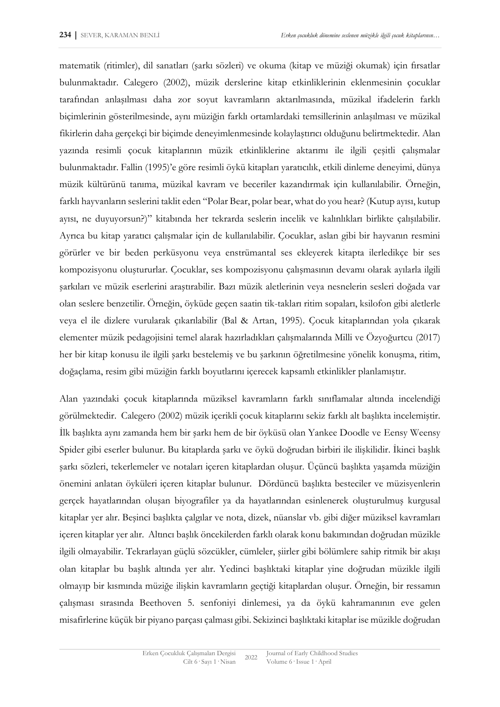matematik (ritimler), dil sanatları (şarkı sözleri) ve okuma (kitap ve müziği okumak) için fırsatlar bulunmaktadır. Calegero (2002), müzik derslerine kitap etkinliklerinin eklenmesinin çocuklar tarafından anlaşılması daha zor soyut kavramların aktarılmasında, müzikal ifadelerin farklı biçimlerinin gösterilmesinde, aynı müziğin farklı ortamlardaki temsillerinin anlaşılması ve müzikal fikirlerin daha gerçekçi bir biçimde deneyimlenmesinde kolaylaştırıcı olduğunu belirtmektedir. Alan yazında resimli çocuk kitaplarının müzik etkinliklerine aktarımı ile ilgili çeşitli çalışmalar bulunmaktadır. Fallin (1995)'e göre resimli öykü kitapları yaratıcılık, etkili dinleme deneyimi, dünya müzik kültürünü tanıma, müzikal kavram ve beceriler kazandırmak için kullanılabilir. Örneğin, farklı hayvanların seslerini taklit eden "Polar Bear, polar bear, what do you hear? (Kutup ayısı, kutup ayısı, ne duyuyorsun?)" kitabında her tekrarda seslerin incelik ve kalınlıkları birlikte çalışılabilir. Ayrıca bu kitap yaratıcı çalışmalar için de kullanılabilir. Çocuklar, aslan gibi bir hayvanın resmini görürler ve bir beden perküsyonu veya enstrümantal ses ekleyerek kitapta ilerledikçe bir ses kompozisyonu oluştururlar. Çocuklar, ses kompozisyonu çalışmasının devamı olarak ayılarla ilgili şarkıları ve müzik eserlerini araştırabilir. Bazı müzik aletlerinin veya nesnelerin sesleri doğada var olan seslere benzetilir. Örneğin, öyküde geçen saatin tik-takları ritim sopaları, ksilofon gibi aletlerle veya el ile dizlere vurularak çıkarılabilir (Bal & Artan, 1995). Çocuk kitaplarından yola çıkarak elementer müzik pedagojisini temel alarak hazırladıkları çalışmalarında Milli ve Özyoğurtcu (2017) her bir kitap konusu ile ilgili şarkı bestelemiş ve bu şarkının öğretilmesine yönelik konuşma, ritim, doğaçlama, resim gibi müziğin farklı boyutlarını içerecek kapsamlı etkinlikler planlamıştır.

Alan yazındaki çocuk kitaplarında müziksel kavramların farklı sınıflamalar altında incelendiği görülmektedir. Calegero (2002) müzik içerikli çocuk kitaplarını sekiz farklı alt başlıkta incelemiştir. İlk başlıkta aynı zamanda hem bir şarkı hem de bir öyküsü olan Yankee Doodle ve Eensy Weensy Spider gibi eserler bulunur. Bu kitaplarda şarkı ve öykü doğrudan birbiri ile ilişkilidir. İkinci başlık şarkı sözleri, tekerlemeler ve notaları içeren kitaplardan oluşur. Üçüncü başlıkta yaşamda müziğin önemini anlatan öyküleri içeren kitaplar bulunur. Dördüncü başlıkta besteciler ve müzisyenlerin gerçek hayatlarından oluşan biyografiler ya da hayatlarından esinlenerek oluşturulmuş kurgusal kitaplar yer alır. Beşinci başlıkta çalgılar ve nota, dizek, nüanslar vb. gibi diğer müziksel kavramları içeren kitaplar yer alır. Altıncı başlık öncekilerden farklı olarak konu bakımından doğrudan müzikle ilgili olmayabilir. Tekrarlayan güçlü sözcükler, cümleler, şiirler gibi bölümlere sahip ritmik bir akışı olan kitaplar bu başlık altında yer alır. Yedinci başlıktaki kitaplar yine doğrudan müzikle ilgili olmayıp bir kısmında müziğe ilişkin kavramların geçtiği kitaplardan oluşur. Örneğin, bir ressamın çalışması sırasında Beethoven 5. senfoniyi dinlemesi, ya da öykü kahramanının eve gelen misafirlerine küçük bir piyano parçası çalması gibi. Sekizinci başlıktaki kitaplar ise müzikle doğrudan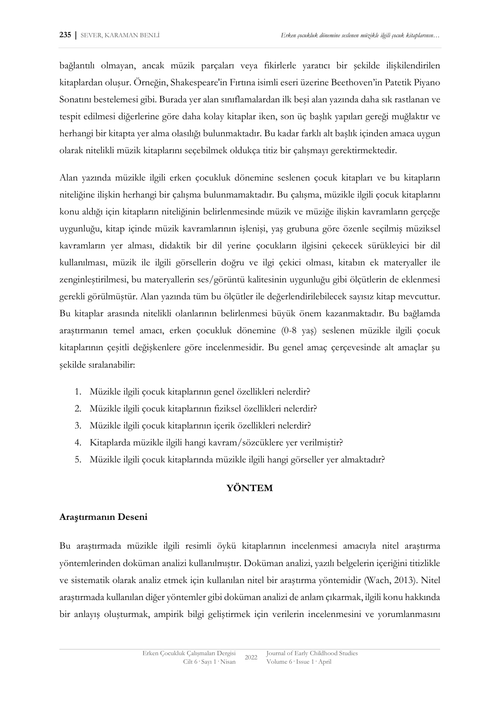bağlantılı olmayan, ancak müzik parçaları veya fikirlerle yaratıcı bir şekilde ilişkilendirilen kitaplardan oluşur. Örneğin, Shakespeare'in Fırtına isimli eseri üzerine Beethoven'in Patetik Piyano Sonatını bestelemesi gibi. Burada yer alan sınıflamalardan ilk beşi alan yazında daha sık rastlanan ve tespit edilmesi diğerlerine göre daha kolay kitaplar iken, son üç başlık yapıları gereği muğlaktır ve herhangi bir kitapta yer alma olasılığı bulunmaktadır. Bu kadar farklı alt başlık içinden amaca uygun olarak nitelikli müzik kitaplarını seçebilmek oldukça titiz bir çalışmayı gerektirmektedir.

Alan yazında müzikle ilgili erken çocukluk dönemine seslenen çocuk kitapları ve bu kitapların niteliğine ilişkin herhangi bir çalışma bulunmamaktadır. Bu çalışma, müzikle ilgili çocuk kitaplarını konu aldığı için kitapların niteliğinin belirlenmesinde müzik ve müziğe ilişkin kavramların gerçeğe uygunluğu, kitap içinde müzik kavramlarının işlenişi, yaş grubuna göre özenle seçilmiş müziksel kavramların yer alması, didaktik bir dil yerine çocukların ilgisini çekecek sürükleyici bir dil kullanılması, müzik ile ilgili görsellerin doğru ve ilgi çekici olması, kitabın ek materyaller ile zenginleştirilmesi, bu materyallerin ses/görüntü kalitesinin uygunluğu gibi ölçütlerin de eklenmesi gerekli görülmüştür. Alan yazında tüm bu ölçütler ile değerlendirilebilecek sayısız kitap mevcuttur. Bu kitaplar arasında nitelikli olanlarının belirlenmesi büyük önem kazanmaktadır. Bu bağlamda araştırmanın temel amacı, erken çocukluk dönemine (0-8 yaş) seslenen müzikle ilgili çocuk kitaplarının çeşitli değişkenlere göre incelenmesidir. Bu genel amaç çerçevesinde alt amaçlar şu şekilde sıralanabilir:

- 1. Müzikle ilgili çocuk kitaplarının genel özellikleri nelerdir?
- 2. Müzikle ilgili çocuk kitaplarının fiziksel özellikleri nelerdir?
- 3. Müzikle ilgili çocuk kitaplarının içerik özellikleri nelerdir?
- 4. Kitaplarda müzikle ilgili hangi kavram/sözcüklere yer verilmiştir?
- 5. Müzikle ilgili çocuk kitaplarında müzikle ilgili hangi görseller yer almaktadır?

## **YÖNTEM**

#### **Araştırmanın Deseni**

Bu araştırmada müzikle ilgili resimli öykü kitaplarının incelenmesi amacıyla nitel araştırma yöntemlerinden doküman analizi kullanılmıştır. Doküman analizi, yazılı belgelerin içeriğini titizlikle ve sistematik olarak analiz etmek için kullanılan nitel bir araştırma yöntemidir (Wach, 2013). Nitel araştırmada kullanılan diğer yöntemler gibi doküman analizi de anlam çıkarmak, ilgili konu hakkında bir anlayış oluşturmak, ampirik bilgi geliştirmek için verilerin incelenmesini ve yorumlanmasını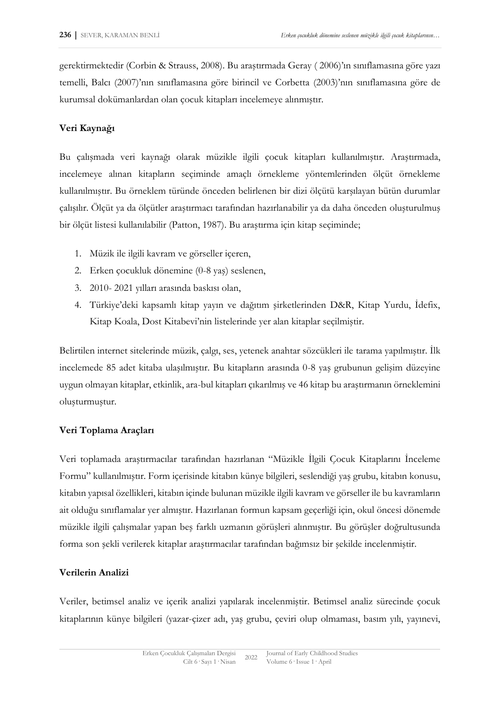gerektirmektedir (Corbin & Strauss, 2008). Bu araştırmada Geray ( 2006)'ın sınıflamasına göre yazı temelli, Balcı (2007)'nın sınıflamasına göre birincil ve Corbetta (2003)'nın sınıflamasına göre de kurumsal dokümanlardan olan çocuk kitapları incelemeye alınmıştır.

## **Veri Kaynağı**

Bu çalışmada veri kaynağı olarak müzikle ilgili çocuk kitapları kullanılmıştır. Araştırmada, incelemeye alınan kitapların seçiminde amaçlı örnekleme yöntemlerinden ölçüt örnekleme kullanılmıştır. Bu örneklem türünde önceden belirlenen bir dizi ölçütü karşılayan bütün durumlar çalışılır. Ölçüt ya da ölçütler araştırmacı tarafından hazırlanabilir ya da daha önceden oluşturulmuş bir ölçüt listesi kullanılabilir (Patton, 1987). Bu araştırma için kitap seçiminde;

- 1. Müzik ile ilgili kavram ve görseller içeren,
- 2. Erken çocukluk dönemine (0-8 yaş) seslenen,
- 3. 2010- 2021 yılları arasında baskısı olan,
- 4. Türkiye'deki kapsamlı kitap yayın ve dağıtım şirketlerinden D&R, Kitap Yurdu, İdefix, Kitap Koala, Dost Kitabevi'nin listelerinde yer alan kitaplar seçilmiştir.

Belirtilen internet sitelerinde müzik, çalgı, ses, yetenek anahtar sözcükleri ile tarama yapılmıştır. İlk incelemede 85 adet kitaba ulaşılmıştır. Bu kitapların arasında 0-8 yaş grubunun gelişim düzeyine uygun olmayan kitaplar, etkinlik, ara-bul kitapları çıkarılmış ve 46 kitap bu araştırmanın örneklemini oluşturmuştur.

## **Veri Toplama Araçları**

Veri toplamada araştırmacılar tarafından hazırlanan "Müzikle İlgili Çocuk Kitaplarını İnceleme Formu" kullanılmıştır. Form içerisinde kitabın künye bilgileri, seslendiği yaş grubu, kitabın konusu, kitabın yapısal özellikleri, kitabın içinde bulunan müzikle ilgili kavram ve görseller ile bu kavramların ait olduğu sınıflamalar yer almıştır. Hazırlanan formun kapsam geçerliği için, okul öncesi dönemde müzikle ilgili çalışmalar yapan beş farklı uzmanın görüşleri alınmıştır. Bu görüşler doğrultusunda forma son şekli verilerek kitaplar araştırmacılar tarafından bağımsız bir şekilde incelenmiştir.

## **Verilerin Analizi**

Veriler, betimsel analiz ve içerik analizi yapılarak incelenmiştir. Betimsel analiz sürecinde çocuk kitaplarının künye bilgileri (yazar-çizer adı, yaş grubu, çeviri olup olmaması, basım yılı, yayınevi,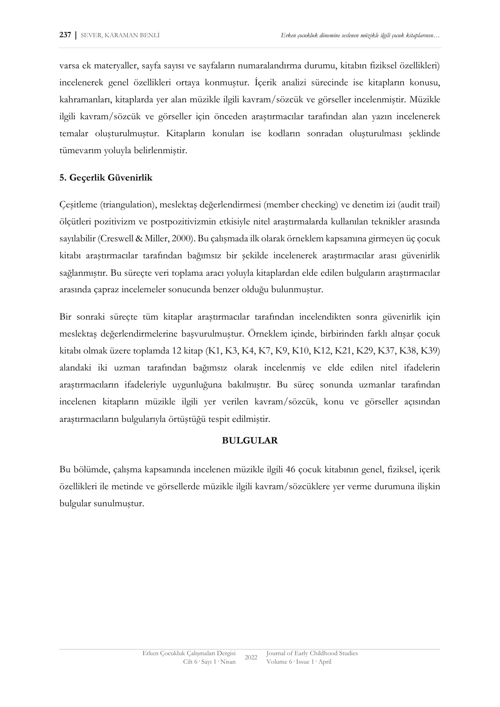varsa ek materyaller, sayfa sayısı ve sayfaların numaralandırma durumu, kitabın fiziksel özellikleri) incelenerek genel özellikleri ortaya konmuştur. İçerik analizi sürecinde ise kitapların konusu, kahramanları, kitaplarda yer alan müzikle ilgili kavram/sözcük ve görseller incelenmiştir. Müzikle ilgili kavram/sözcük ve görseller için önceden araştırmacılar tarafından alan yazın incelenerek temalar oluşturulmuştur. Kitapların konuları ise kodların sonradan oluşturulması şeklinde tümevarım yoluyla belirlenmiştir.

## **5. Geçerlik Güvenirlik**

Çeşitleme (triangulation), meslektaş değerlendirmesi (member checking) ve denetim izi (audit trail) ölçütleri pozitivizm ve postpozitivizmin etkisiyle nitel araştırmalarda kullanılan teknikler arasında sayılabilir (Creswell & Miller, 2000). Bu çalışmada ilk olarak örneklem kapsamına girmeyen üç çocuk kitabı araştırmacılar tarafından bağımsız bir şekilde incelenerek araştırmacılar arası güvenirlik sağlanmıştır. Bu süreçte veri toplama aracı yoluyla kitaplardan elde edilen bulguların araştırmacılar arasında çapraz incelemeler sonucunda benzer olduğu bulunmuştur.

Bir sonraki süreçte tüm kitaplar araştırmacılar tarafından incelendikten sonra güvenirlik için meslektaş değerlendirmelerine başvurulmuştur. Örneklem içinde, birbirinden farklı altışar çocuk kitabı olmak üzere toplamda 12 kitap (K1, K3, K4, K7, K9, K10, K12, K21, K29, K37, K38, K39) alandaki iki uzman tarafından bağımsız olarak incelenmiş ve elde edilen nitel ifadelerin araştırmacıların ifadeleriyle uygunluğuna bakılmıştır. Bu süreç sonunda uzmanlar tarafından incelenen kitapların müzikle ilgili yer verilen kavram/sözcük, konu ve görseller açısından araştırmacıların bulgularıyla örtüştüğü tespit edilmiştir.

## **BULGULAR**

Bu bölümde, çalışma kapsamında incelenen müzikle ilgili 46 çocuk kitabının genel, fiziksel, içerik özellikleri ile metinde ve görsellerde müzikle ilgili kavram/sözcüklere yer verme durumuna ilişkin bulgular sunulmuştur.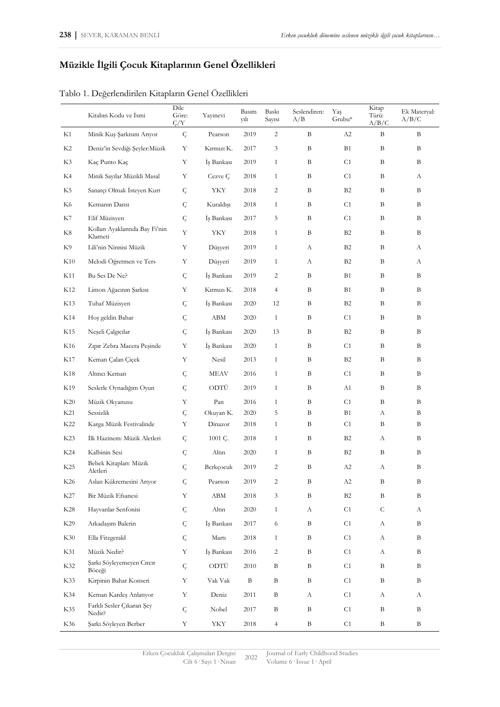## **Müzikle İlgili Çocuk Kitaplarının Genel Özellikleri**

|  |  |  | Tablo 1. Değerlendirilen Kitapların Genel Özellikleri |
|--|--|--|-------------------------------------------------------|
|  |  |  |                                                       |
|  |  |  |                                                       |
|  |  |  |                                                       |

|     | Kitabın Kodu ve İsmi                       | Dile<br>Göre:<br>$\zeta/Y$ | Yayınevi   | Basım<br>yılı | <b>Baski</b><br>Sayısı | Seslendiren:<br>A/B | Yaş<br>Grubu*  | Kitap<br>Türü:<br>A/B/C | Ek Materyal:<br>A/B/C |
|-----|--------------------------------------------|----------------------------|------------|---------------|------------------------|---------------------|----------------|-------------------------|-----------------------|
| K1  | Minik Kuş Şarkısını Arıyor                 | $\mathcal{G}% _{0}$        | Pearson    | 2019          | $\overline{c}$         | B                   | A2             | B                       | B                     |
| K2  | Deniz'in Sevdiği Şeyler:Müzik              | Y                          | Kırmızı K. | 2017          | $\mathfrak{Z}$         | B                   | <b>B1</b>      | B                       | B                     |
| K3  | Kaç Punto Kaç                              | Υ                          | İş Bankası | 2019          | $\mathbf{1}$           | B                   | C1             | B                       | B                     |
| K4  | Minik Sayılar Müzikli Masal                | Υ                          | Cezve Ç    | 2018          | $\mathbf{1}$           | B                   | C1             | B                       | А                     |
| K5  | Sanatçı Olmak İsteyen Kurt                 | Ç                          | YKY        | 2018          | $\overline{c}$         | B                   | <b>B2</b>      | B                       | B                     |
| K6  | Kemanın Dansı                              | Ç                          | Kuraldışı  | 2018          | $\mathbf{1}$           | B                   | C1             | B                       | B                     |
| K7  | Elif Müzisyen                              | Ç                          | Iş Bankası | 2017          | 5                      | B                   | C1             | B                       | B                     |
| K8  | Kolları Ayaklarında Bay Fi'nin<br>Klarneti | Υ                          | YKY        | 2018          | $\mathbf{1}$           | B                   | <b>B2</b>      | B                       | B                     |
| K9  | Lili'nin Ninnisi Müzik                     | Υ                          | Düşyeri    | 2019          | $\mathbf{1}$           | А                   | <b>B2</b>      | B                       | А                     |
| K10 | Melodi Öğretmen ve Ters                    | Υ                          | Düşyeri    | 2019          | $\mathbf{1}$           | А                   | <b>B2</b>      | B                       | А                     |
| K11 | Bu Ses De Ne?                              | Ç                          | İs Bankası | 2019          | $\overline{c}$         | B                   | B1             | B                       | B                     |
| K12 | Limon Ağacının Şarkısı                     | Υ                          | Kırmızı K. | 2018          | $\overline{4}$         | B                   | <b>B1</b>      | B                       | B                     |
| K13 | Tuhaf Müzisyen                             | $\mathsf{C}$               | İş Bankası | 2020          | 12                     | B                   | <b>B2</b>      | B                       | B                     |
| K14 | Hoş geldin Bahar                           | Ç                          | ABM        | 2020          | $\mathbf{1}$           | B                   | C1             | $\, {\bf B}$            | B                     |
| K15 | Neseli Calgıcılar                          | Ç                          | İş Bankası | 2020          | 13                     | B                   | <b>B2</b>      | B                       | B                     |
| K16 | Zıpır Zebra Macera Peşinde                 | Υ                          | İş Bankası | 2020          | $\mathbf{1}$           | B                   | C1             | B                       | B                     |
| K17 | Keman Çalan Çiçek                          | Υ                          | Nesil      | 2013          | $\mathbf{1}$           | B                   | <b>B2</b>      | B                       | B                     |
| K18 | Altıncı Keman                              | Ç                          | MEAV       | 2016          | $\mathbf{1}$           | B                   | C1             | B                       | B                     |
| K19 | Seslerle Oynadığım Oyun                    | Ç                          | ODTÜ       | 2019          | $\mathbf{1}$           | B                   | A1             | B                       | B                     |
| K20 | Müzik Okyanusu                             | Υ                          | Pan        | 2016          | $\mathbf{1}$           | B                   | C1             | B                       | B                     |
| K21 | Sessizlik                                  | Ç                          | Okuyan K.  | 2020          | 5                      | В                   | <b>B1</b>      | А                       | B                     |
| K22 | Karga Müzik Festivalinde                   | Υ                          | Dinazor    | 2018          | $\mathbf{1}$           | В                   | C <sub>1</sub> | B                       | B                     |
| K23 | İlk Hazinem: Müzik Aletleri                | Ç                          | 1001 C.    | 2018          | $\mathbf{1}$           | В                   | <b>B2</b>      | A                       | B                     |
| K24 | Kalbinin Sesi                              | Ç                          | Altın      | 2020          | $\mathbf{1}$           | В                   | <b>B2</b>      | B                       | B                     |
| K25 | Bebek Kitaplan: Müzik<br>Aletleri          | Ç                          | Berkçocuk  | 2019          | $\overline{c}$         | B                   | A2             | А                       | B                     |
| K26 | Aslan Kükremesini Arıyor                   | Ç                          | Pearson    | $2019\,$      | $\overline{c}$         | $\, {\bf B}$        | $\rm A2$       | $\, {\bf B}$            | $\, {\bf B}$          |
| K27 | Bir Müzik Efsanesi                         | Υ                          | ABM        | 2018          | $\mathfrak{Z}$         | $\, {\bf B}$        | B <sub>2</sub> | $\, {\bf B}$            | B                     |
| K28 | Hayvanlar Senfonisi                        | Ç                          | Altın      | 2020          | $\mathbf{1}$           | А                   | C1             | $\mathsf C$             | А                     |
| K29 | Arkadaşım Balerin                          | Ç                          | İş Bankası | 2017          | 6                      | Β                   | C1             | A                       | B                     |
| K30 | Ella Fitzgerald                            | Ç                          | Martı      | 2018          | $\mathbf{1}$           | Β                   | C1             | А                       | B                     |
| K31 | Müzik Nedir?                               | Υ                          | İş Bankası | 2016          | $\overline{c}$         | Β                   | C1             | A                       | B                     |
| K32 | Şarkı Söyleyemeyen Cırcır<br>Böceği        | Ç                          | ODTÜ       | 2010          | B                      | Β                   | C1             | B                       | B                     |
| K33 | Kirpinin Bahar Konseri                     | $\mathbf Y$                | Vak Vak    | B             | B                      | Β                   | C1             | B                       | B                     |
| K34 | Keman Kardeş Anlatıyor                     | $\mathbf Y$                | Deniz      | 2011          | B                      | А                   | C1             | A                       | А                     |
| K35 | Farklı Sesler Çıkaran Şey<br>Nedir?        | Ç                          | Nobel      | 2017          | B                      | B                   | C1             | B                       | B                     |
| K36 | Şarkı Söyleyen Berber                      | $\mathbf Y$                | YKY        | 2018          | $\overline{4}$         | $\, {\bf B}$        | C1             | B                       | B                     |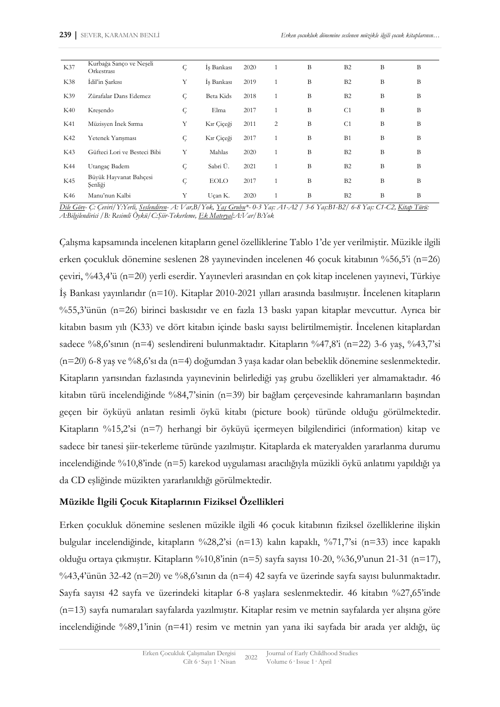| K37 | Kurbağa Sanço ve Neşeli<br>Orkestrasi | Ç | İs Bankası  | 2020 |    | B | B <sub>2</sub> | B | B |
|-----|---------------------------------------|---|-------------|------|----|---|----------------|---|---|
| K38 | İdil'in Şarkısı                       | Y | İş Bankası  | 2019 |    | B | B <sub>2</sub> | B | B |
| K39 | Zürafalar Dans Edemez                 | Ç | Beta Kids   | 2018 |    | B | B <sub>2</sub> | B | B |
| K40 | Kresendo                              | Ç | Elma        | 2017 |    | B | C <sub>1</sub> | B | B |
| K41 | Müzisyen İnek Sırma                   | Y | Kır Ciceği  | 2011 | 2  | B | C <sub>1</sub> | B | B |
| K42 | Yetenek Yarışması                     | Ç | Kır Çiçeği  | 2017 |    | B | B1             | B | B |
| K43 | Güfteci Lori ve Besteci Bibi          | Y | Mahlas      | 2020 |    | B | B2             | B | B |
| K44 | Utangaç Badem                         | Ç | Sabri Ü.    | 2021 |    | B | B <sub>2</sub> | B | B |
| K45 | Büyük Hayvanat Bahçesi<br>Senliği     | Ç | <b>EOLO</b> | 2017 |    | B | B <sub>2</sub> | B | B |
| K46 | Manu'nun Kalbi                        | Y | Uçan K.     | 2020 | -1 | B | B <sub>2</sub> | B | B |

Dile Göre- Ç: Çeviri/Y:Yerli, Seslendiren- A: Var,B/Yok, Yaş Grubu\*- 0-3 Yaş: A1-A2 / 3-6 Yaş:B1-B2/ 6-8 Yaş: C1-C2, Kitap Türü: *A:Bilgilendirici /B: Resimli Öykü/C:Şiir-Tekerleme, Ek Materyal:A:Var/B:Yok*

Çalışma kapsamında incelenen kitapların genel özelliklerine Tablo 1'de yer verilmiştir. Müzikle ilgili erken çocukluk dönemine seslenen 28 yayınevinden incelenen 46 çocuk kitabının %56,5'i (n=26) çeviri, %43,4'ü (n=20) yerli eserdir. Yayınevleri arasından en çok kitap incelenen yayınevi, Türkiye İş Bankası yayınlarıdır (n=10). Kitaplar 2010-2021 yılları arasında basılmıştır. İncelenen kitapların %55,3'ünün (n=26) birinci baskısıdır ve en fazla 13 baskı yapan kitaplar mevcuttur. Ayrıca bir kitabın basım yılı (K33) ve dört kitabın içinde baskı sayısı belirtilmemiştir. İncelenen kitaplardan sadece %8,6'sının (n=4) seslendireni bulunmaktadır. Kitapların %47,8'i (n=22) 3-6 yaş, %43,7'si (n=20) 6-8 yaş ve %8,6'sı da (n=4) doğumdan 3 yaşa kadar olan bebeklik dönemine seslenmektedir. Kitapların yarısından fazlasında yayınevinin belirlediği yaş grubu özellikleri yer almamaktadır. 46 kitabın türü incelendiğinde %84,7'sinin (n=39) bir bağlam çerçevesinde kahramanların başından geçen bir öyküyü anlatan resimli öykü kitabı (picture book) türünde olduğu görülmektedir. Kitapların %15,2'si (n=7) herhangi bir öyküyü içermeyen bilgilendirici (information) kitap ve sadece bir tanesi şiir-tekerleme türünde yazılmıştır. Kitaplarda ek materyalden yararlanma durumu incelendiğinde %10,8'inde (n=5) karekod uygulaması aracılığıyla müzikli öykü anlatımı yapıldığı ya da CD eşliğinde müzikten yararlanıldığı görülmektedir.

#### **Müzikle İlgili Çocuk Kitaplarının Fiziksel Özellikleri**

Erken çocukluk dönemine seslenen müzikle ilgili 46 çocuk kitabının fiziksel özelliklerine ilişkin bulgular incelendiğinde, kitapların %28,2'si (n=13) kalın kapaklı, %71,7'si (n=33) ince kapaklı olduğu ortaya çıkmıştır. Kitapların %10,8'inin (n=5) sayfa sayısı 10-20, %36,9'unun 21-31 (n=17), %43,4'ünün 32-42 (n=20) ve %8,6'sının da (n=4) 42 sayfa ve üzerinde sayfa sayısı bulunmaktadır. Sayfa sayısı 42 sayfa ve üzerindeki kitaplar 6-8 yaşlara seslenmektedir. 46 kitabın %27,65'inde (n=13) sayfa numaraları sayfalarda yazılmıştır. Kitaplar resim ve metnin sayfalarda yer alışına göre incelendiğinde %89,1'inin (n=41) resim ve metnin yan yana iki sayfada bir arada yer aldığı, üç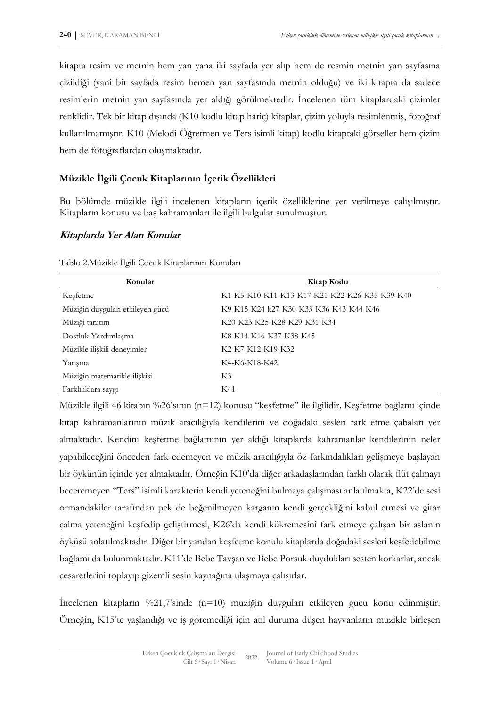kitapta resim ve metnin hem yan yana iki sayfada yer alıp hem de resmin metnin yan sayfasına çizildiği (yani bir sayfada resim hemen yan sayfasında metnin olduğu) ve iki kitapta da sadece resimlerin metnin yan sayfasında yer aldığı görülmektedir. İncelenen tüm kitaplardaki çizimler renklidir. Tek bir kitap dışında (K10 kodlu kitap hariç) kitaplar, çizim yoluyla resimlenmiş, fotoğraf kullanılmamıştır. K10 (Melodi Öğretmen ve Ters isimli kitap) kodlu kitaptaki görseller hem çizim hem de fotoğraflardan oluşmaktadır.

## **Müzikle İlgili Çocuk Kitaplarının İçerik Özellikleri**

Bu bölümde müzikle ilgili incelenen kitapların içerik özelliklerine yer verilmeye çalışılmıştır. Kitapların konusu ve baş kahramanları ile ilgili bulgular sunulmuştur.

## **Kitaplarda Yer Alan Konular**

| Konular                          | Kitap Kodu                                    |
|----------------------------------|-----------------------------------------------|
| Kesfetme                         | К1-К5-К10-К11-К13-К17-К21-К22-К26-К35-К39-К40 |
| Müziğin duyguları etkileyen gücü | K9-K15-K24-k27-K30-K33-K36-K43-K44-K46        |
| Müziği tanıtım                   | K20-K23-K25-K28-K29-K31-K34                   |
| Dostluk-Yardımlaşma              | K8-K14-K16-K37-K38-K45                        |
| Müzikle ilişkili deneyimler      | K2-K7-K12-K19-K32                             |
| Yarısma                          | K4-K6-K18-K42                                 |
| Müziğin matematikle ilişkisi     | K3                                            |
| Farklılıklara saygı              | K41                                           |

Tablo 2.Müzikle İlgili Çocuk Kitaplarının Konuları

Müzikle ilgili 46 kitabın %26'sının (n=12) konusu "keşfetme" ile ilgilidir. Keşfetme bağlamı içinde kitap kahramanlarının müzik aracılığıyla kendilerini ve doğadaki sesleri fark etme çabaları yer almaktadır. Kendini keşfetme bağlamının yer aldığı kitaplarda kahramanlar kendilerinin neler yapabileceğini önceden fark edemeyen ve müzik aracılığıyla öz farkındalıkları gelişmeye başlayan bir öykünün içinde yer almaktadır. Örneğin K10'da diğer arkadaşlarından farklı olarak flüt çalmayı beceremeyen "Ters" isimli karakterin kendi yeteneğini bulmaya çalışması anlatılmakta, K22'de sesi ormandakiler tarafından pek de beğenilmeyen karganın kendi gerçekliğini kabul etmesi ve gitar çalma yeteneğini keşfedip geliştirmesi, K26'da kendi kükremesini fark etmeye çalışan bir aslanın öyküsü anlatılmaktadır. Diğer bir yandan keşfetme konulu kitaplarda doğadaki sesleri keşfedebilme bağlamı da bulunmaktadır. K11'de Bebe Tavşan ve Bebe Porsuk duydukları sesten korkarlar, ancak cesaretlerini toplayıp gizemli sesin kaynağına ulaşmaya çalışırlar.

İncelenen kitapların %21,7'sinde (n=10) müziğin duyguları etkileyen gücü konu edinmiştir. Örneğin, K15'te yaşlandığı ve iş göremediği için atıl duruma düşen hayvanların müzikle birleşen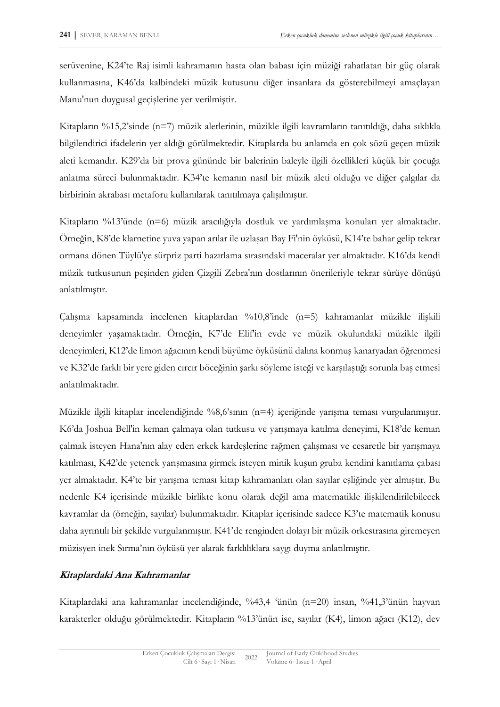serüvenine, K24'te Raj isimli kahramanın hasta olan babası için müziği rahatlatan bir güç olarak kullanmasına, K46'da kalbindeki müzik kutusunu diğer insanlara da gösterebilmeyi amaçlayan Manu'nun duygusal geçişlerine yer verilmiştir.

Kitapların %15,2'sinde (n=7) müzik aletlerinin, müzikle ilgili kavramların tanıtıldığı, daha sıklıkla bilgilendirici ifadelerin yer aldığı görülmektedir. Kitaplarda bu anlamda en çok sözü geçen müzik aleti kemandır. K29'da bir prova gününde bir balerinin baleyle ilgili özellikleri küçük bir çocuğa anlatma süreci bulunmaktadır. K34'te kemanın nasıl bir müzik aleti olduğu ve diğer çalgılar da birbirinin akrabası metaforu kullanılarak tanıtılmaya çalışılmıştır.

Kitapların %13'ünde (n=6) müzik aracılığıyla dostluk ve yardımlaşma konuları yer almaktadır. Örneğin, K8'de klarnetine yuva yapan arılar ile uzlaşan Bay Fi'nin öyküsü, K14'te bahar gelip tekrar ormana dönen Tüylü'ye sürpriz parti hazırlama sırasındaki maceralar yer almaktadır. K16'da kendi müzik tutkusunun peşinden giden Çizgili Zebra'nın dostlarının önerileriyle tekrar sürüye dönüşü anlatılmıştır.

Çalışma kapsamında incelenen kitaplardan %10,8'inde (n=5) kahramanlar müzikle ilişkili deneyimler yaşamaktadır. Örneğin, K7'de Elif'in evde ve müzik okulundaki müzikle ilgili deneyimleri, K12'de limon ağacının kendi büyüme öyküsünü dalına konmuş kanaryadan öğrenmesi ve K32'de farklı bir yere giden cırcır böceğinin şarkı söyleme isteği ve karşılaştığı sorunla baş etmesi anlatılmaktadır.

Müzikle ilgili kitaplar incelendiğinde %8,6'sının (n=4) içeriğinde yarışma teması vurgulanmıştır. K6'da Joshua Bell'in keman çalmaya olan tutkusu ve yarışmaya katılma deneyimi, K18'de keman çalmak isteyen Hana'nın alay eden erkek kardeşlerine rağmen çalışması ve cesaretle bir yarışmaya katılması, K42'de yetenek yarışmasına girmek isteyen minik kuşun gruba kendini kanıtlama çabası yer almaktadır. K4'te bir yarışma teması kitap kahramanları olan sayılar eşliğinde yer almıştır. Bu nedenle K4 içerisinde müzikle birlikte konu olarak değil ama matematikle ilişkilendirilebilecek kavramlar da (örneğin, sayılar) bulunmaktadır. Kitaplar içerisinde sadece K3'te matematik konusu daha ayrıntılı bir şekilde vurgulanmıştır. K41'de renginden dolayı bir müzik orkestrasına giremeyen müzisyen inek Sırma'nın öyküsü yer alarak farklılıklara saygı duyma anlatılmıştır.

## **Kitaplardaki Ana Kahramanlar**

Kitaplardaki ana kahramanlar incelendiğinde, %43,4 'ünün (n=20) insan, %41,3'ünün hayvan karakterler olduğu görülmektedir. Kitapların %13'ünün ise, sayılar (K4), limon ağacı (K12), dev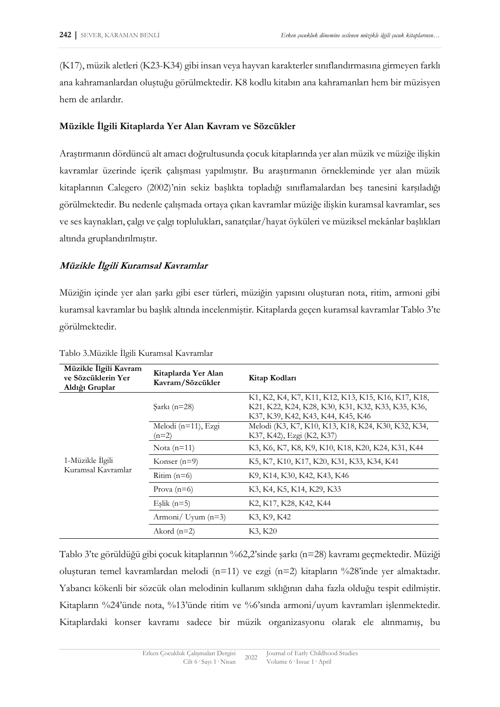(K17), müzik aletleri (K23-K34) gibi insan veya hayvan karakterler sınıflandırmasına girmeyen farklı ana kahramanlardan oluştuğu görülmektedir. K8 kodlu kitabın ana kahramanları hem bir müzisyen hem de arılardır.

### **Müzikle İlgili Kitaplarda Yer Alan Kavram ve Sözcükler**

Araştırmanın dördüncü alt amacı doğrultusunda çocuk kitaplarında yer alan müzik ve müziğe ilişkin kavramlar üzerinde içerik çalışması yapılmıştır. Bu araştırmanın örnekleminde yer alan müzik kitaplarının Calegero (2002)'nin sekiz başlıkta topladığı sınıflamalardan beş tanesini karşıladığı görülmektedir. Bu nedenle çalışmada ortaya çıkan kavramlar müziğe ilişkin kuramsal kavramlar, ses ve ses kaynakları, çalgı ve çalgı toplulukları, sanatçılar/hayat öyküleri ve müziksel mekânlar başlıkları altında gruplandırılmıştır.

## **Müzikle İlgili Kuramsal Kavramlar**

Müziğin içinde yer alan şarkı gibi eser türleri, müziğin yapısını oluşturan nota, ritim, armoni gibi kuramsal kavramlar bu başlık altında incelenmiştir. Kitaplarda geçen kuramsal kavramlar Tablo 3'te görülmektedir.

| Müzikle İlgili Kavram<br>ve Sözcüklerin Yer<br>Aldığı Gruplar | Kitaplarda Yer Alan<br>Kavram/Sözcükler | Kitap Kodları                                                                                                                                |
|---------------------------------------------------------------|-----------------------------------------|----------------------------------------------------------------------------------------------------------------------------------------------|
|                                                               | $\text{Sark}_1 \text{ (n=28)}$          | K1, K2, K4, K7, K11, K12, K13, K15, K16, K17, K18,<br>K21, K22, K24, K28, K30, K31, K32, K33, K35, K36,<br>K37, K39, K42, K43, K44, K45, K46 |
|                                                               | Melodi (n=11), Ezgi<br>$(n=2)$          | Melodi (K3, K7, K10, K13, K18, K24, K30, K32, K34,<br>K37, K42), Ezgi (K2, K37)                                                              |
|                                                               | Nota $(n=11)$                           | K3, K6, K7, K8, K9, K10, K18, K20, K24, K31, K44                                                                                             |
| 1-Müzikle İlgili                                              | Konser $(n=9)$                          | K5, K7, K10, K17, K20, K31, K33, K34, K41                                                                                                    |
| Kuramsal Kavramlar                                            | Ritim $(n=6)$                           | K9, K14, K30, K42, K43, K46                                                                                                                  |
|                                                               | Prova $(n=6)$                           | K3, K4, K5, K14, K29, K33                                                                                                                    |
|                                                               | Eşlik $(n=5)$                           | K2, K17, K28, K42, K44                                                                                                                       |
|                                                               | Armoni/ Uyum $(n=3)$                    | K3, K9, K42                                                                                                                                  |
|                                                               | Akord $(n=2)$                           | K3, K20                                                                                                                                      |

Tablo 3.Müzikle İlgili Kuramsal Kavramlar

Tablo 3'te görüldüğü gibi çocuk kitaplarının %62,2'sinde şarkı (n=28) kavramı geçmektedir. Müziği oluşturan temel kavramlardan melodi (n=11) ve ezgi (n=2) kitapların %28'inde yer almaktadır. Yabancı kökenli bir sözcük olan melodinin kullanım sıklığının daha fazla olduğu tespit edilmiştir. Kitapların %24'ünde nota, %13'ünde ritim ve %6'sında armoni/uyum kavramları işlenmektedir. Kitaplardaki konser kavramı sadece bir müzik organizasyonu olarak ele alınmamış, bu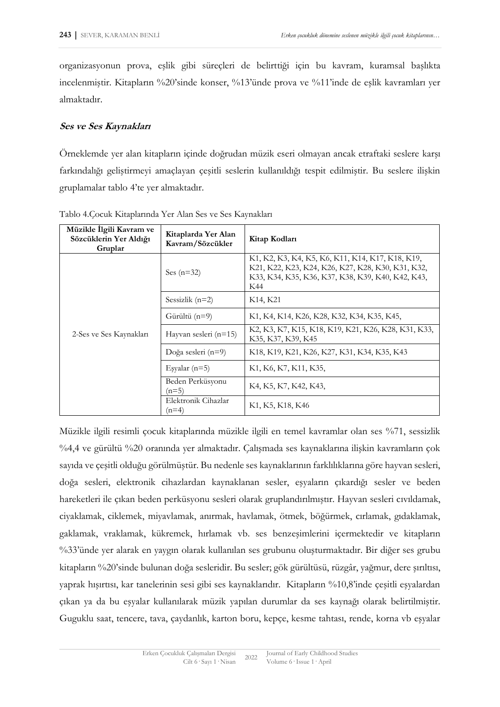organizasyonun prova, eşlik gibi süreçleri de belirttiği için bu kavram, kuramsal başlıkta incelenmiştir. Kitapların %20'sinde konser, %13'ünde prova ve %11'inde de eşlik kavramları yer almaktadır.

#### **Ses ve Ses Kaynakları**

Örneklemde yer alan kitapların içinde doğrudan müzik eseri olmayan ancak etraftaki seslere karşı farkındalığı geliştirmeyi amaçlayan çeşitli seslerin kullanıldığı tespit edilmiştir. Bu seslere ilişkin gruplamalar tablo 4'te yer almaktadır.

| Müzikle Ilgili Kavram ve<br>Sözcüklerin Yer Aldığı<br>Gruplar | Kitaplarda Yer Alan<br>Kavram/Sözcükler | Kitap Kodları                                                                                                                                                     |
|---------------------------------------------------------------|-----------------------------------------|-------------------------------------------------------------------------------------------------------------------------------------------------------------------|
|                                                               | Ses $(n=32)$                            | K1, K2, K3, K4, K5, K6, K11, K14, K17, K18, K19,<br>K21, K22, K23, K24, K26, K27, K28, K30, K31, K32,<br>КЗЗ, КЗ4, КЗ5, КЗ6, КЗ7, КЗ8, КЗ9, К40, К42, К43,<br>K44 |
|                                                               | Sessizlik $(n=2)$                       | K <sub>14</sub> , K <sub>21</sub>                                                                                                                                 |
|                                                               | Gürültü (n=9)                           | K1, K4, K14, K26, K28, K32, K34, K35, K45,                                                                                                                        |
| 2-Ses ve Ses Kaynakları                                       | Hayvan sesleri $(n=15)$                 | K2, K3, K7, K15, K18, K19, K21, K26, K28, K31, K33,<br>K35, K37, K39, K45                                                                                         |
|                                                               | Doğa sesleri (n=9)                      | K18, K19, K21, K26, K27, K31, K34, K35, K43                                                                                                                       |
|                                                               | Eşyalar $(n=5)$                         | K1, K6, K7, K11, K35,                                                                                                                                             |
|                                                               | Beden Perküsyonu<br>$(n=5)$             | K4, K5, K7, K42, K43,                                                                                                                                             |
|                                                               | Elektronik Cihazlar<br>$(n=4)$          | K <sub>1</sub> , K <sub>5</sub> , K <sub>18</sub> , K <sub>46</sub>                                                                                               |

Tablo 4.Çocuk Kitaplarında Yer Alan Ses ve Ses Kaynakları

Müzikle ilgili resimli çocuk kitaplarında müzikle ilgili en temel kavramlar olan ses %71, sessizlik %4,4 ve gürültü %20 oranında yer almaktadır. Çalışmada ses kaynaklarına ilişkin kavramların çok sayıda ve çeşitli olduğu görülmüştür. Bu nedenle ses kaynaklarının farklılıklarına göre hayvan sesleri, doğa sesleri, elektronik cihazlardan kaynaklanan sesler, eşyaların çıkardığı sesler ve beden hareketleri ile çıkan beden perküsyonu sesleri olarak gruplandırılmıştır. Hayvan sesleri cıvıldamak, ciyaklamak, ciklemek, miyavlamak, anırmak, havlamak, ötmek, böğürmek, cırlamak, gıdaklamak, gaklamak, vraklamak, kükremek, hırlamak vb. ses benzeşimlerini içermektedir ve kitapların %33'ünde yer alarak en yaygın olarak kullanılan ses grubunu oluşturmaktadır. Bir diğer ses grubu kitapların %20'sinde bulunan doğa sesleridir. Bu sesler; gök gürültüsü, rüzgâr, yağmur, dere şırıltısı, yaprak hışırtısı, kar tanelerinin sesi gibi ses kaynaklarıdır. Kitapların %10,8'inde çeşitli eşyalardan çıkan ya da bu eşyalar kullanılarak müzik yapılan durumlar da ses kaynağı olarak belirtilmiştir. Guguklu saat, tencere, tava, çaydanlık, karton boru, kepçe, kesme tahtası, rende, korna vb eşyalar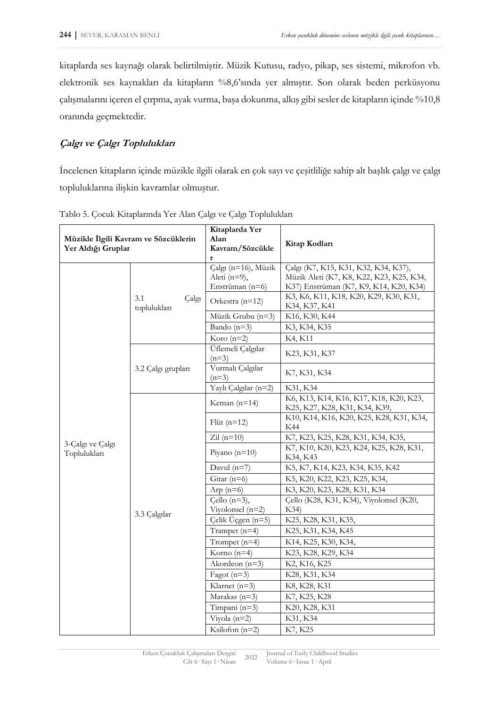kitaplarda ses kaynağı olarak belirtilmiştir. Müzik Kutusu, radyo, pikap, ses sistemi, mikrofon vb. elektronik ses kaynakları da kitapların %8,6'sında yer almıştır. Son olarak beden perküsyonu çalışmalarını içeren el çırpma, ayak vurma, başa dokunma, alkış gibi sesler de kitapların içinde %10,8 oranında geçmektedir.

## **Çalgı ve Çalgı Toplulukları**

İncelenen kitapların içinde müzikle ilgili olarak en çok sayı ve çeşitliliğe sahip alt başlık çalgı ve çalgı topluluklarına ilişkin kavramlar olmuştur.

| Yer Aldığı Gruplar               | Müzikle İlgili Kavram ve Sözcüklerin | Kitaplarda Yer<br>Alan<br>Kavram/Sözcükle<br>r         | Kitap Kodları                                                                                                              |
|----------------------------------|--------------------------------------|--------------------------------------------------------|----------------------------------------------------------------------------------------------------------------------------|
|                                  |                                      | Çalgı (n=16), Müzik<br>Aleti (n=9),<br>Enstrüman (n=6) | Çalgı (K7, K15, K31, K32, K34, K37),<br>Müzik Aleti (K7, K8, K22, K23, K25, K34,<br>K37) Enstrüman (K7, K9, K14, K20, K34) |
|                                  | 3.1<br>Çalgı<br>toplulukları         | Orkestra (n=12)                                        | K3, K6, K11, K18, K20, K29, K30, K31,<br>K34, K37, K41                                                                     |
|                                  |                                      | Müzik Grubu (n=3)                                      | K16, K30, K44                                                                                                              |
|                                  |                                      | Bando $(n=3)$                                          | K3, K34, K35                                                                                                               |
|                                  |                                      | Koro $(n=2)$                                           | K4, K11                                                                                                                    |
|                                  |                                      | Üflemeli Çalgılar<br>$(n=3)$                           | K23, K31, K37                                                                                                              |
|                                  | 3.2 Çalgı grupları                   | Vurmalı Çalgılar<br>$(n=3)$                            | K7, K31, K34                                                                                                               |
|                                  |                                      | Yaylı Çalgılar (n=2)                                   | K31, K34                                                                                                                   |
|                                  |                                      | Keman $(n=14)$                                         | K6, K13, K14, K16, K17, K18, K20, K23,<br>K25, K27, K28, K31, K34, K39,                                                    |
|                                  |                                      | Flüt $(n=12)$                                          | K10, K14, K16, K20, K25, K28, K31, K34,<br>K44                                                                             |
|                                  |                                      | Zil $(n=10)$                                           | K7, K23, K25, K28, K31, K34, K35,                                                                                          |
| 3-Calgı ve Calgı<br>Toplulukları |                                      | Piyano $(n=10)$                                        | K7, K10, K20, K23, K24, K25, K28, K31,<br>K34, K43                                                                         |
|                                  |                                      | Davul $(n=7)$                                          | K5, K7, K14, K23, K34, K35, K42                                                                                            |
|                                  |                                      | Gitar $(n=6)$                                          | K5, K20, K22, K23, K25, K34,                                                                                               |
|                                  |                                      | Arp $(n=6)$                                            | K3, K20, K23, K28, K31, K34                                                                                                |
|                                  |                                      | Cello $(n=3)$ ,<br>Viyolonsel (n=2)                    | Çello (K28, K31, K34), Viyolonsel (K20,<br>K34)                                                                            |
|                                  | 3.3 Çalgılar                         | Celik Üçgen (n=5)                                      | K25, K28, K31, K35,                                                                                                        |
|                                  |                                      | Trampet $(n=4)$                                        | K25, K31, K34, K45                                                                                                         |
|                                  |                                      | Trompet $(n=4)$                                        | K14, K25, K30, K34,                                                                                                        |
|                                  |                                      | Korno $(n=4)$                                          | K23, K28, K29, K34                                                                                                         |
|                                  |                                      | Akordeon $(n=3)$                                       | K2, K16, K25                                                                                                               |
|                                  |                                      | Fagot $(n=3)$                                          | K28, K31, K34                                                                                                              |
|                                  |                                      | Klarnet $(n=3)$                                        | K8, K28, K31                                                                                                               |
|                                  |                                      | Marakas $(n=3)$                                        | K7, K25, K28                                                                                                               |
|                                  |                                      | Timpani $(n=3)$                                        | K20, K28, K31                                                                                                              |
|                                  |                                      | Viyola $(n=2)$                                         | K31, K34                                                                                                                   |
|                                  |                                      | Ksilofon $(n=2)$                                       | K7, K25                                                                                                                    |

Tablo 5. Çocuk Kitaplarında Yer Alan Çalgı ve Çalgı Toplulukları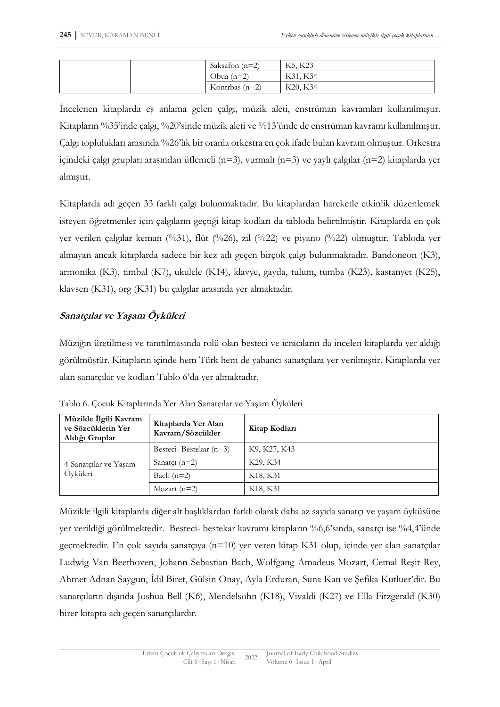|  | Saksafon $(n=2)$ | K5, K23  |
|--|------------------|----------|
|  | Obua $(n=2)$     | K31, K34 |
|  | Kontrbas $(n=2)$ | K20, K34 |

İncelenen kitaplarda eş anlama gelen çalgı, müzik aleti, enstrüman kavramları kullanılmıştır. Kitapların %35'inde çalgı, %20'sinde müzik aleti ve %13'ünde de enstrüman kavramı kullanılmıştır. Çalgı toplulukları arasında %26'lık bir oranla orkestra en çok ifade bulan kavram olmuştur. Orkestra içindeki çalgı grupları arasından üflemeli (n=3), vurmalı (n=3) ve yaylı çalgılar (n=2) kitaplarda yer almıştır.

Kitaplarda adı geçen 33 farklı çalgı bulunmaktadır. Bu kitaplardan hareketle etkinlik düzenlemek isteyen öğretmenler için çalgıların geçtiği kitap kodları da tabloda belirtilmiştir. Kitaplarda en çok yer verilen çalgılar keman (%31), flüt (%26), zil (%22) ve piyano (%22) olmuştur. Tabloda yer almayan ancak kitaplarda sadece bir kez adı geçen birçok çalgı bulunmaktadır. Bandoneon (K3), armonika (K3), timbal (K7), ukulele (K14), klavye, gayda, tulum, tumba (K23), kastanyet (K25), klavsen (K31), org (K31) bu çalgılar arasında yer almaktadır.

## **Sanatçılar ve Yaşam Öyküleri**

Müziğin üretilmesi ve tanıtılmasında rolü olan besteci ve icracıların da incelen kitaplarda yer aldığı görülmüştür. Kitapların içinde hem Türk hem de yabancı sanatçılara yer verilmiştir. Kitaplarda yer alan sanatçılar ve kodları Tablo 6'da yer almaktadır.

| Müzikle İlgili Kavram<br>ve Sözcüklerin Yer<br>Aldığı Gruplar | Kitaplarda Yer Alan<br>Kavram/Sözcükler | Kitap Kodları                     |
|---------------------------------------------------------------|-----------------------------------------|-----------------------------------|
|                                                               | Besteci-Bestekar (n=3)                  | K9, K27, K43                      |
| 4-Sanatçılar ve Yaşam                                         | Sanatci $(n=2)$                         | K29, K34                          |
| Öyküleri                                                      | Bach $(n=2)$                            | K <sub>18</sub> , K <sub>31</sub> |
|                                                               | Mozart $(n=2)$                          | K <sub>18</sub> , K <sub>31</sub> |

Tablo 6. Çocuk Kitaplarında Yer Alan Sanatçılar ve Yaşam Öyküleri

Müzikle ilgili kitaplarda diğer alt başlıklardan farklı olarak daha az sayıda sanatçı ve yaşam öyküsüne yer verildiği görülmektedir. Besteci- bestekar kavramı kitapların %6,6'sında, sanatçı ise %4,4'ünde geçmektedir. En çok sayıda sanatçıya (n=10) yer veren kitap K31 olup, içinde yer alan sanatçılar Ludwig Van Beethoven, Johann Sebastian Bach, Wolfgang Amadeus Mozart, Cemal Reşit Rey, Ahmet Adnan Saygun, İdil Biret, Gülsin Onay, Ayla Erduran, Suna Kan ve Şefika Kutluer'dir. Bu sanatçıların dışında Joshua Bell (K6), Mendelsohn (K18), Vivaldi (K27) ve Ella Fitzgerald (K30) birer kitapta adı geçen sanatçılardır.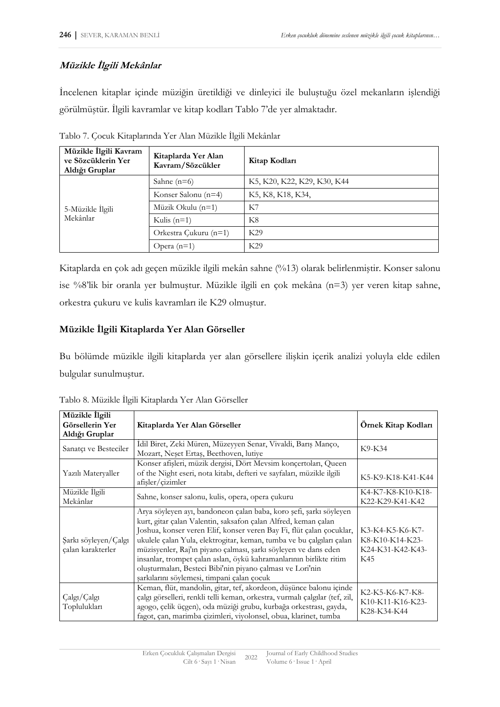## **Müzikle İlgili Mekânlar**

İncelenen kitaplar içinde müziğin üretildiği ve dinleyici ile buluştuğu özel mekanların işlendiği görülmüştür. İlgili kavramlar ve kitap kodları Tablo 7'de yer almaktadır.

| Müzikle İlgili Kavram<br>ve Sözcüklerin Yer<br>Aldığı Gruplar | Kitaplarda Yer Alan<br>Kavram/Sözcükler | Kitap Kodları               |
|---------------------------------------------------------------|-----------------------------------------|-----------------------------|
|                                                               | Sahne $(n=6)$                           | K5, K20, K22, K29, K30, K44 |
|                                                               | Konser Salonu (n=4)                     | K5, K8, K18, K34,           |
| 5-Müzikle İlgili                                              | Müzik Okulu (n=1)                       | K7                          |
| Mekânlar                                                      | Kulis $(n=1)$                           | K8                          |
|                                                               | Orkestra Cukuru (n=1)                   | K29                         |
|                                                               | Opera $(n=1)$                           | K29                         |

Tablo 7. Çocuk Kitaplarında Yer Alan Müzikle İlgili Mekânlar

Kitaplarda en çok adı geçen müzikle ilgili mekân sahne (%13) olarak belirlenmiştir. Konser salonu ise %8'lik bir oranla yer bulmuştur. Müzikle ilgili en çok mekâna (n=3) yer veren kitap sahne, orkestra çukuru ve kulis kavramları ile K29 olmuştur.

## **Müzikle İlgili Kitaplarda Yer Alan Görseller**

Bu bölümde müzikle ilgili kitaplarda yer alan görsellere ilişkin içerik analizi yoluyla elde edilen bulgular sunulmuştur.

| Müzikle İlgili<br>Görsellerin Yer<br>Aldığı Gruplar | Kitaplarda Yer Alan Görseller                                                                                                                                                                                                                                                                                                                                                                                                                                                                                                             | Örnek Kitap Kodları                                           |
|-----------------------------------------------------|-------------------------------------------------------------------------------------------------------------------------------------------------------------------------------------------------------------------------------------------------------------------------------------------------------------------------------------------------------------------------------------------------------------------------------------------------------------------------------------------------------------------------------------------|---------------------------------------------------------------|
| Sanatçı ve Besteciler                               | İdil Biret, Zeki Müren, Müzeyyen Senar, Vivaldi, Barış Manço,<br>Mozart, Neșet Ertaș, Beethoven, lutiye                                                                                                                                                                                                                                                                                                                                                                                                                                   | K9-K34                                                        |
| Yazılı Materyaller                                  | Konser afişleri, müzik dergisi, Dört Mevsim konçertoları, Queen<br>of the Night eseri, nota kitabı, defteri ve sayfaları, müzikle ilgili<br>afişler/çizimler                                                                                                                                                                                                                                                                                                                                                                              | K5-K9-K18-K41-K44                                             |
| Müzikle İlgili<br>Mekânlar                          | Sahne, konser salonu, kulis, opera, opera çukuru                                                                                                                                                                                                                                                                                                                                                                                                                                                                                          | K4-K7-K8-K10-K18-<br>K22-K29-K41-K42                          |
| Şarkı söyleyen/Çalgı<br>çalan karakterler           | Arya söyleyen ayı, bandoneon çalan baba, koro şefi, şarkı söyleyen<br>kurt, gitar çalan Valentin, saksafon çalan Alfred, keman çalan<br>Joshua, konser veren Elif, konser veren Bay Fi, flüt çalan çocuklar,<br>ukulele çalan Yula, elektrogitar, keman, tumba ve bu çalgıları çalan<br>müzisyenler, Raj'ın piyano çalması, şarkı söyleyen ve dans eden<br>insanlar, trompet çalan aslan, öykü kahramanlarının birlikte ritim<br>oluşturmaları, Besteci Bibi'nin piyano çalması ve Lori'nin<br>şarkılarını söylemesi, timpani çalan çocuk | K3-K4-K5-K6-K7-<br>K8-K10-K14-K23-<br>K24-K31-K42-K43-<br>K45 |
| Çalgı/Çalgı<br>Toplulukları                         | Keman, flüt, mandolin, gitar, tef, akordeon, düşünce balonu içinde<br>çalgı görselleri, renkli telli keman, orkestra, vurmalı çalgılar (tef, zil,<br>agogo, çelik üçgen), oda müziği grubu, kurbağa orkestrası, gayda,<br>fagot, çan, marimba çizimleri, viyolonsel, obua, klarinet, tumba                                                                                                                                                                                                                                                | K2-K5-K6-K7-K8-<br>K10-K11-K16-K23-<br>K28-K34-K44            |

Tablo 8. Müzikle İlgili Kitaplarda Yer Alan Görseller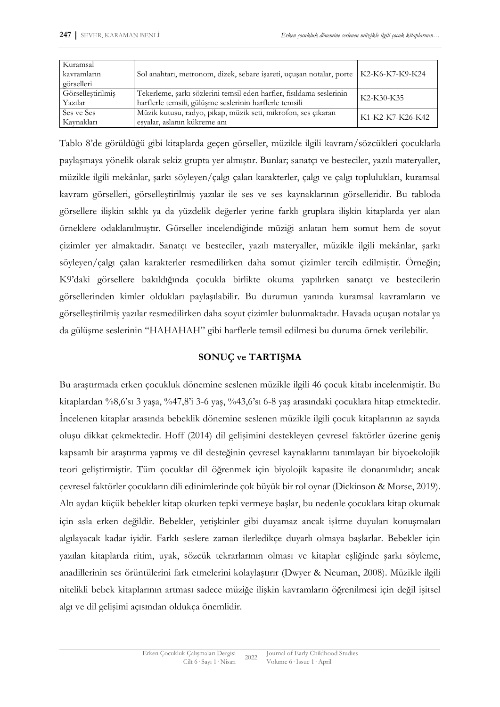| Kuramsal<br>kavramların<br>görselleri | Sol anahtarı, metronom, dizek, sebare işareti, uçuşan notalar, porte   K2-K6-K7-K9-K24                                          |                  |
|---------------------------------------|---------------------------------------------------------------------------------------------------------------------------------|------------------|
| Görselleştirilmiş<br>Yazılar          | Tekerleme, şarkı sözlerini temsil eden harfler, fısıldama seslerinin<br>harflerle temsili, gülüşme seslerinin harflerle temsili | K2-K30-K35       |
| Ses ve Ses<br>Kavnakları              | Müzik kutusu, radyo, pikap, müzik seti, mikrofon, ses çıkaran<br>esyalar, aslanın kükreme anı                                   | K1-K2-K7-K26-K42 |

Tablo 8'de görüldüğü gibi kitaplarda geçen görseller, müzikle ilgili kavram/sözcükleri çocuklarla paylaşmaya yönelik olarak sekiz grupta yer almıştır. Bunlar; sanatçı ve besteciler, yazılı materyaller, müzikle ilgili mekânlar, şarkı söyleyen/çalgı çalan karakterler, çalgı ve çalgı toplulukları, kuramsal kavram görselleri, görselleştirilmiş yazılar ile ses ve ses kaynaklarının görselleridir. Bu tabloda görsellere ilişkin sıklık ya da yüzdelik değerler yerine farklı gruplara ilişkin kitaplarda yer alan örneklere odaklanılmıştır. Görseller incelendiğinde müziği anlatan hem somut hem de soyut çizimler yer almaktadır. Sanatçı ve besteciler, yazılı materyaller, müzikle ilgili mekânlar, şarkı söyleyen/çalgı çalan karakterler resmedilirken daha somut çizimler tercih edilmiştir. Örneğin; K9'daki görsellere bakıldığında çocukla birlikte okuma yapılırken sanatçı ve bestecilerin görsellerinden kimler oldukları paylaşılabilir. Bu durumun yanında kuramsal kavramların ve görselleştirilmiş yazılar resmedilirken daha soyut çizimler bulunmaktadır. Havada uçuşan notalar ya da gülüşme seslerinin "HAHAHAH" gibi harflerle temsil edilmesi bu duruma örnek verilebilir.

## **SONUÇ ve TARTIŞMA**

Bu araştırmada erken çocukluk dönemine seslenen müzikle ilgili 46 çocuk kitabı incelenmiştir. Bu kitaplardan %8,6'sı 3 yaşa, %47,8'i 3-6 yaş, %43,6'sı 6-8 yaş arasındaki çocuklara hitap etmektedir. İncelenen kitaplar arasında bebeklik dönemine seslenen müzikle ilgili çocuk kitaplarının az sayıda oluşu dikkat çekmektedir. Hoff (2014) dil gelişimini destekleyen çevresel faktörler üzerine geniş kapsamlı bir araştırma yapmış ve dil desteğinin çevresel kaynaklarını tanımlayan bir biyoekolojik teori geliştirmiştir. Tüm çocuklar dil öğrenmek için biyolojik kapasite ile donanımlıdır; ancak çevresel faktörler çocukların dili edinimlerinde çok büyük bir rol oynar (Dickinson & Morse, 2019). Altı aydan küçük bebekler kitap okurken tepki vermeye başlar, bu nedenle çocuklara kitap okumak için asla erken değildir. Bebekler, yetişkinler gibi duyamaz ancak işitme duyuları konuşmaları algılayacak kadar iyidir. Farklı seslere zaman ilerledikçe duyarlı olmaya başlarlar. Bebekler için yazılan kitaplarda ritim, uyak, sözcük tekrarlarının olması ve kitaplar eşliğinde şarkı söyleme, anadillerinin ses örüntülerini fark etmelerini kolaylaştırır (Dwyer & Neuman, 2008). Müzikle ilgili nitelikli bebek kitaplarının artması sadece müziğe ilişkin kavramların öğrenilmesi için değil işitsel algı ve dil gelişimi açısından oldukça önemlidir.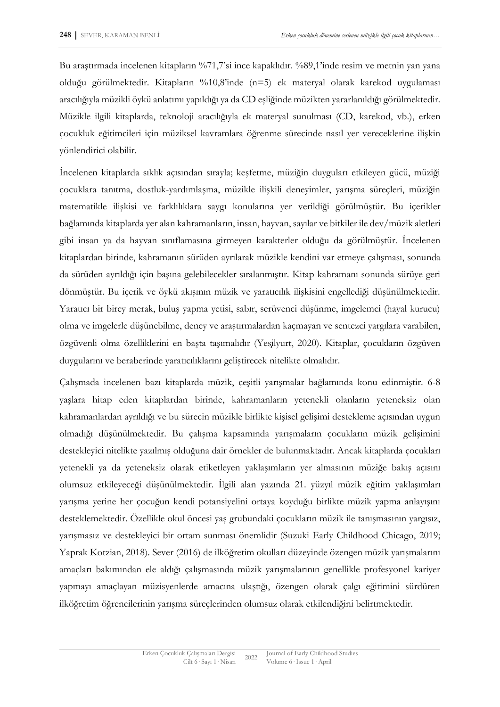Bu araştırmada incelenen kitapların %71,7'si ince kapaklıdır. %89,1'inde resim ve metnin yan yana olduğu görülmektedir. Kitapların %10,8'inde (n=5) ek materyal olarak karekod uygulaması aracılığıyla müzikli öykü anlatımı yapıldığı ya da CD eşliğinde müzikten yararlanıldığı görülmektedir. Müzikle ilgili kitaplarda, teknoloji aracılığıyla ek materyal sunulması (CD, karekod, vb.), erken çocukluk eğitimcileri için müziksel kavramlara öğrenme sürecinde nasıl yer vereceklerine ilişkin yönlendirici olabilir.

İncelenen kitaplarda sıklık açısından sırayla; keşfetme, müziğin duyguları etkileyen gücü, müziği çocuklara tanıtma, dostluk-yardımlaşma, müzikle ilişkili deneyimler, yarışma süreçleri, müziğin matematikle ilişkisi ve farklılıklara saygı konularına yer verildiği görülmüştür. Bu içerikler bağlamında kitaplarda yer alan kahramanların, insan, hayvan, sayılar ve bitkiler ile dev/müzik aletleri gibi insan ya da hayvan sınıflamasına girmeyen karakterler olduğu da görülmüştür. İncelenen kitaplardan birinde, kahramanın sürüden ayrılarak müzikle kendini var etmeye çalışması, sonunda da sürüden ayrıldığı için başına gelebilecekler sıralanmıştır. Kitap kahramanı sonunda sürüye geri dönmüştür. Bu içerik ve öykü akışının müzik ve yaratıcılık ilişkisini engellediği düşünülmektedir. Yaratıcı bir birey merak, buluş yapma yetisi, sabır, serüvenci düşünme, imgelemci (hayal kurucu) olma ve imgelerle düşünebilme, deney ve araştırmalardan kaçmayan ve sentezci yargılara varabilen, özgüvenli olma özelliklerini en başta taşımalıdır (Yeşilyurt, 2020). Kitaplar, çocukların özgüven duygularını ve beraberinde yaratıcılıklarını geliştirecek nitelikte olmalıdır.

Çalışmada incelenen bazı kitaplarda müzik, çeşitli yarışmalar bağlamında konu edinmiştir. 6-8 yaşlara hitap eden kitaplardan birinde, kahramanların yetenekli olanların yeteneksiz olan kahramanlardan ayrıldığı ve bu sürecin müzikle birlikte kişisel gelişimi destekleme açısından uygun olmadığı düşünülmektedir. Bu çalışma kapsamında yarışmaların çocukların müzik gelişimini destekleyici nitelikte yazılmış olduğuna dair örnekler de bulunmaktadır. Ancak kitaplarda çocukları yetenekli ya da yeteneksiz olarak etiketleyen yaklaşımların yer almasının müziğe bakış açısını olumsuz etkileyeceği düşünülmektedir. İlgili alan yazında 21. yüzyıl müzik eğitim yaklaşımları yarışma yerine her çocuğun kendi potansiyelini ortaya koyduğu birlikte müzik yapma anlayışını desteklemektedir. Özellikle okul öncesi yaş grubundaki çocukların müzik ile tanışmasının yargısız, yarışmasız ve destekleyici bir ortam sunması önemlidir (Suzuki Early Childhood Chicago, 2019; Yaprak Kotzian, 2018). Sever (2016) de ilköğretim okulları düzeyinde özengen müzik yarışmalarını amaçları bakımından ele aldığı çalışmasında müzik yarışmalarının genellikle profesyonel kariyer yapmayı amaçlayan müzisyenlerde amacına ulaştığı, özengen olarak çalgı eğitimini sürdüren ilköğretim öğrencilerinin yarışma süreçlerinden olumsuz olarak etkilendiğini belirtmektedir.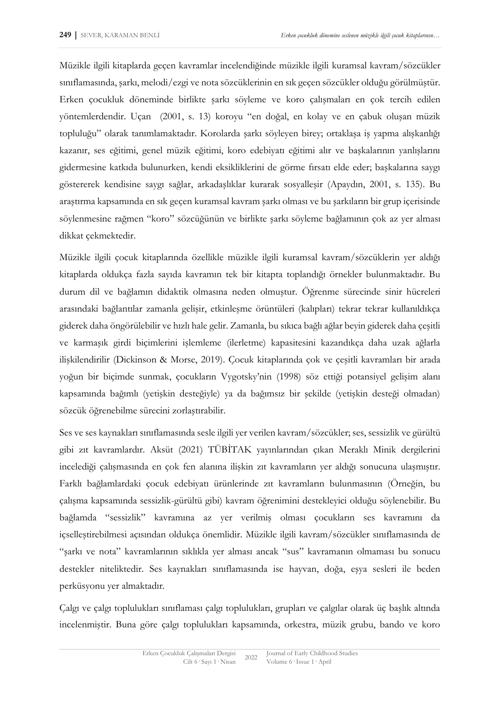Müzikle ilgili kitaplarda geçen kavramlar incelendiğinde müzikle ilgili kuramsal kavram/sözcükler sınıflamasında, şarkı, melodi/ezgi ve nota sözcüklerinin en sık geçen sözcükler olduğu görülmüştür. Erken çocukluk döneminde birlikte şarkı söyleme ve koro çalışmaları en çok tercih edilen yöntemlerdendir. Uçan (2001, s. 13) koroyu "en doğal, en kolay ve en çabuk oluşan müzik topluluğu" olarak tanımlamaktadır. Korolarda şarkı söyleyen birey; ortaklaşa iş yapma alışkanlığı kazanır, ses eğitimi, genel müzik eğitimi, koro edebiyatı eğitimi alır ve başkalarının yanlışlarını gidermesine katkıda bulunurken, kendi eksikliklerini de görme fırsatı elde eder; başkalarına saygı göstererek kendisine saygı sağlar, arkadaşlıklar kurarak sosyalleşir (Apaydın, 2001, s. 135). Bu araştırma kapsamında en sık geçen kuramsal kavram şarkı olması ve bu şarkıların bir grup içerisinde söylenmesine rağmen "koro" sözcüğünün ve birlikte şarkı söyleme bağlamının çok az yer alması dikkat çekmektedir.

Müzikle ilgili çocuk kitaplarında özellikle müzikle ilgili kuramsal kavram/sözcüklerin yer aldığı kitaplarda oldukça fazla sayıda kavramın tek bir kitapta toplandığı örnekler bulunmaktadır. Bu durum dil ve bağlamın didaktik olmasına neden olmuştur. Öğrenme sürecinde sinir hücreleri arasındaki bağlantılar zamanla gelişir, etkinleşme örüntüleri (kalıpları) tekrar tekrar kullanıldıkça giderek daha öngörülebilir ve hızlı hale gelir. Zamanla, bu sıkıca bağlı ağlar beyin giderek daha çeşitli ve karmaşık girdi biçimlerini işlemleme (ilerletme) kapasitesini kazandıkça daha uzak ağlarla ilişkilendirilir (Dickinson & Morse, 2019). Çocuk kitaplarında çok ve çeşitli kavramları bir arada yoğun bir biçimde sunmak, çocukların Vygotsky'nin (1998) söz ettiği potansiyel gelişim alanı kapsamında bağımlı (yetişkin desteğiyle) ya da bağımsız bir şekilde (yetişkin desteği olmadan) sözcük öğrenebilme sürecini zorlaştırabilir.

Ses ve ses kaynakları sınıflamasında sesle ilgili yer verilen kavram/sözcükler; ses, sessizlik ve gürültü gibi zıt kavramlardır. Aksüt (2021) TÜBİTAK yayınlarından çıkan Meraklı Minik dergilerini incelediği çalışmasında en çok fen alanına ilişkin zıt kavramların yer aldığı sonucuna ulaşmıştır. Farklı bağlamlardaki çocuk edebiyatı ürünlerinde zıt kavramların bulunmasının (Örneğin, bu çalışma kapsamında sessizlik-gürültü gibi) kavram öğrenimini destekleyici olduğu söylenebilir. Bu bağlamda "sessizlik" kavramına az yer verilmiş olması çocukların ses kavramını da içselleştirebilmesi açısından oldukça önemlidir. Müzikle ilgili kavram/sözcükler sınıflamasında de "şarkı ve nota" kavramlarının sıklıkla yer alması ancak "sus" kavramanın olmaması bu sonucu destekler niteliktedir. Ses kaynakları sınıflamasında ise hayvan, doğa, eşya sesleri ile beden perküsyonu yer almaktadır.

Çalgı ve çalgı toplulukları sınıflaması çalgı toplulukları, grupları ve çalgılar olarak üç başlık altında incelenmiştir. Buna göre çalgı toplulukları kapsamında, orkestra, müzik grubu, bando ve koro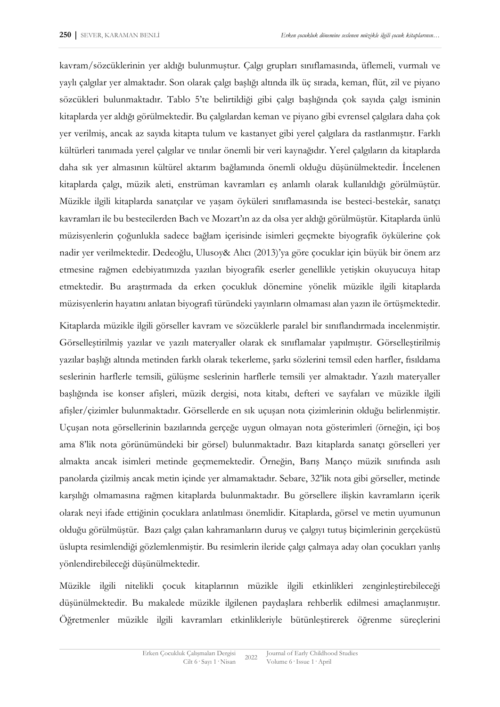kavram/sözcüklerinin yer aldığı bulunmuştur. Çalgı grupları sınıflamasında, üflemeli, vurmalı ve yaylı çalgılar yer almaktadır. Son olarak çalgı başlığı altında ilk üç sırada, keman, flüt, zil ve piyano sözcükleri bulunmaktadır. Tablo 5'te belirtildiği gibi çalgı başlığında çok sayıda çalgı isminin kitaplarda yer aldığı görülmektedir. Bu çalgılardan keman ve piyano gibi evrensel çalgılara daha çok yer verilmiş, ancak az sayıda kitapta tulum ve kastanyet gibi yerel çalgılara da rastlanmıştır. Farklı kültürleri tanımada yerel çalgılar ve tınılar önemli bir veri kaynağıdır. Yerel çalgıların da kitaplarda daha sık yer almasının kültürel aktarım bağlamında önemli olduğu düşünülmektedir. İncelenen kitaplarda çalgı, müzik aleti, enstrüman kavramları eş anlamlı olarak kullanıldığı görülmüştür. Müzikle ilgili kitaplarda sanatçılar ve yaşam öyküleri sınıflamasında ise besteci-bestekâr, sanatçı kavramları ile bu bestecilerden Bach ve Mozart'ın az da olsa yer aldığı görülmüştür. Kitaplarda ünlü müzisyenlerin çoğunlukla sadece bağlam içerisinde isimleri geçmekte biyografik öykülerine çok nadir yer verilmektedir. Dedeoğlu, Ulusoy& Alıcı (2013)'ya göre çocuklar için büyük bir önem arz etmesine rağmen edebiyatımızda yazılan biyografik eserler genellikle yetişkin okuyucuya hitap etmektedir. Bu araştırmada da erken çocukluk dönemine yönelik müzikle ilgili kitaplarda müzisyenlerin hayatını anlatan biyografi türündeki yayınların olmaması alan yazın ile örtüşmektedir.

Kitaplarda müzikle ilgili görseller kavram ve sözcüklerle paralel bir sınıflandırmada incelenmiştir. Görselleştirilmiş yazılar ve yazılı materyaller olarak ek sınıflamalar yapılmıştır. Görselleştirilmiş yazılar başlığı altında metinden farklı olarak tekerleme, şarkı sözlerini temsil eden harfler, fısıldama seslerinin harflerle temsili, gülüşme seslerinin harflerle temsili yer almaktadır. Yazılı materyaller başlığında ise konser afişleri, müzik dergisi, nota kitabı, defteri ve sayfaları ve müzikle ilgili afişler/çizimler bulunmaktadır. Görsellerde en sık uçuşan nota çizimlerinin olduğu belirlenmiştir. Uçuşan nota görsellerinin bazılarında gerçeğe uygun olmayan nota gösterimleri (örneğin, içi boş ama 8'lik nota görünümündeki bir görsel) bulunmaktadır. Bazı kitaplarda sanatçı görselleri yer almakta ancak isimleri metinde geçmemektedir. Örneğin, Barış Manço müzik sınıfında asılı panolarda çizilmiş ancak metin içinde yer almamaktadır. Sebare, 32'lik nota gibi görseller, metinde karşılığı olmamasına rağmen kitaplarda bulunmaktadır. Bu görsellere ilişkin kavramların içerik olarak neyi ifade ettiğinin çocuklara anlatılması önemlidir. Kitaplarda, görsel ve metin uyumunun olduğu görülmüştür. Bazı çalgı çalan kahramanların duruş ve çalgıyı tutuş biçimlerinin gerçeküstü üslupta resimlendiği gözlemlenmiştir. Bu resimlerin ileride çalgı çalmaya aday olan çocukları yanlış yönlendirebileceği düşünülmektedir.

Müzikle ilgili nitelikli çocuk kitaplarının müzikle ilgili etkinlikleri zenginleştirebileceği düşünülmektedir. Bu makalede müzikle ilgilenen paydaşlara rehberlik edilmesi amaçlanmıştır. Öğretmenler müzikle ilgili kavramları etkinlikleriyle bütünleştirerek öğrenme süreçlerini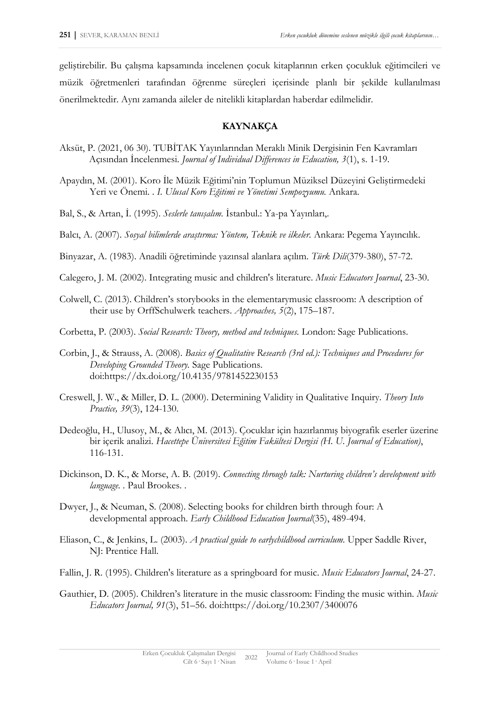geliştirebilir. Bu çalışma kapsamında incelenen çocuk kitaplarının erken çocukluk eğitimcileri ve müzik öğretmenleri tarafından öğrenme süreçleri içerisinde planlı bir şekilde kullanılması önerilmektedir. Aynı zamanda aileler de nitelikli kitaplardan haberdar edilmelidir.

### **KAYNAKÇA**

- Aksüt, P. (2021, 06 30). TUBİTAK Yayınlarından Meraklı Minik Dergisinin Fen Kavramları Açısından İncelenmesi. *Journal of Individual Differences in Education, 3*(1), s. 1-19.
- Apaydın, M. (2001). Koro İle Müzik Eğitimi'nin Toplumun Müziksel Düzeyini Geliştirmedeki Yeri ve Önemi. . *I. Ulusal Koro Eğitimi ve Yönetimi Sempozyumu.* Ankara.
- Bal, S., & Artan, İ. (1995). *Seslerle tanışalım.* İstanbul.: Ya-pa Yayınları,.
- Balcı, A. (2007). *Sosyal bilimlerde araştırma: Yöntem, Teknik ve ilkeler.* Ankara: Pegema Yayıncılık.
- Binyazar, A. (1983). Anadili öğretiminde yazınsal alanlara açılım. *Türk Dili*(379-380), 57-72.
- Calegero, J. M. (2002). Integrating music and children's literature. *Music Educators Journal*, 23-30.
- Colwell, C. (2013). Children's storybooks in the elementarymusic classroom: A description of their use by OrffSchulwerk teachers. *Approaches, 5*(2), 175–187.
- Corbetta, P. (2003). *Social Research: Theory, method and techniques.* London: Sage Publications.
- Corbin, J., & Strauss, A. (2008). *Basics of Qualitative Research (3rd ed.): Techniques and Procedures for Developing Grounded Theory.* Sage Publications. doi:https://dx.doi.org/10.4135/9781452230153
- Creswell, J. W., & Miller, D. L. (2000). Determining Validity in Qualitative Inquiry. *Theory Into Practice, 39*(3), 124-130.
- Dedeoğlu, H., Ulusoy, M., & Alıcı, M. (2013). Çocuklar için hazırlanmış biyografik eserler üzerine bir içerik analizi. *Hacettepe Üniversitesi Eğitim Fakültesi Dergisi (H. U. Journal of Education)*, 116-131.
- Dickinson, D. K., & Morse, A. B. (2019). *Connecting through talk: Nurturing children's development with language. .* Paul Brookes. .
- Dwyer, J., & Neuman, S. (2008). Selecting books for children birth through four: A developmental approach. *Early Childhood Education Journal*(35), 489-494.
- Eliason, C., & Jenkins, L. (2003). *A practical guide to earlychildhood curriculum.* Upper Saddle River, NJ: Prentice Hall.
- Fallin, J. R. (1995). Children's literature as a springboard for music. *Music Educators Journal*, 24-27.
- Gauthier, D. (2005). Children's literature in the music classroom: Finding the music within. *Music Educators Journal, 91*(3), 51–56. doi:https://doi.org/10.2307/3400076